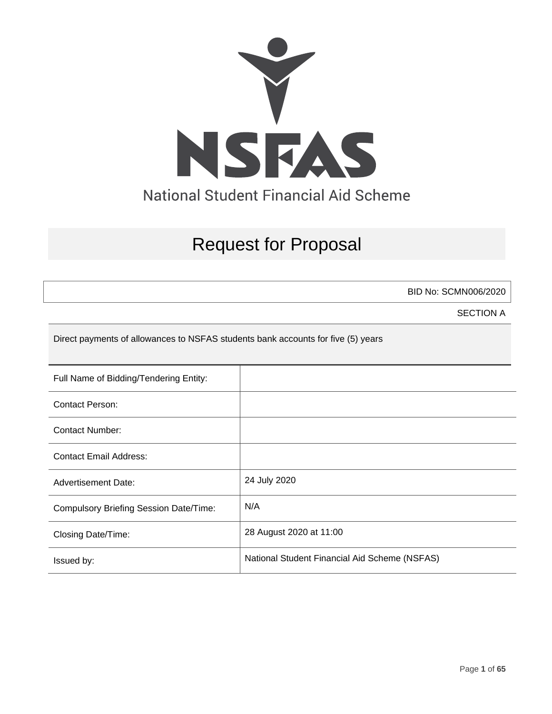

# Request for Proposal

BID No: SCMN006/2020

SECTION A

Direct payments of allowances to NSFAS students bank accounts for five (5) years

| Full Name of Bidding/Tendering Entity:        |                                               |
|-----------------------------------------------|-----------------------------------------------|
| Contact Person:                               |                                               |
| Contact Number:                               |                                               |
| <b>Contact Email Address:</b>                 |                                               |
| <b>Advertisement Date:</b>                    | 24 July 2020                                  |
| <b>Compulsory Briefing Session Date/Time:</b> | N/A                                           |
| Closing Date/Time:                            | 28 August 2020 at 11:00                       |
| Issued by:                                    | National Student Financial Aid Scheme (NSFAS) |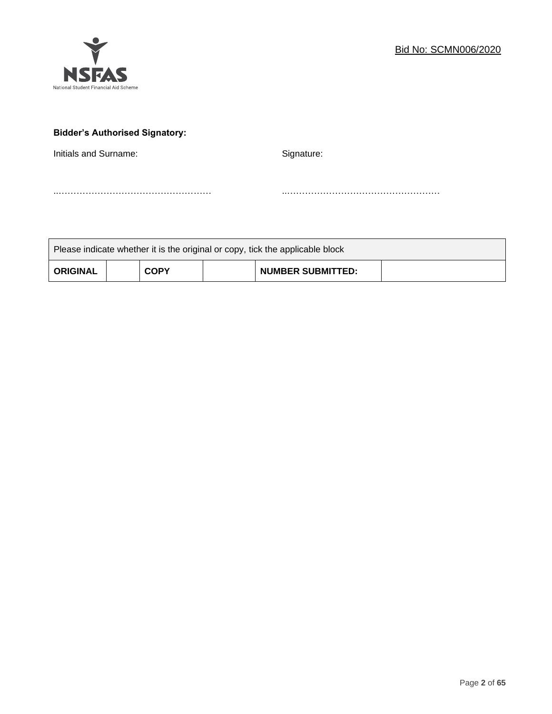

# **Bidder's Authorised Signatory:**

Initials and Surname: Signature: Signature:

..…………………………………………… ..……………………………………………

| Please indicate whether it is the original or copy, tick the applicable block |  |             |  |                          |  |
|-------------------------------------------------------------------------------|--|-------------|--|--------------------------|--|
| <b>ORIGINAL</b>                                                               |  | <b>COPY</b> |  | <b>NUMBER SUBMITTED:</b> |  |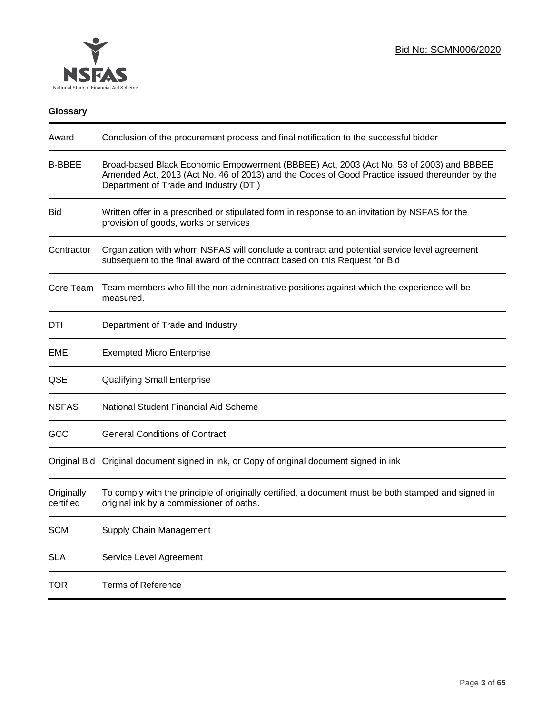

# **Glossary**

| Award                   | Conclusion of the procurement process and final notification to the successful bidder                                                                                                                                               |
|-------------------------|-------------------------------------------------------------------------------------------------------------------------------------------------------------------------------------------------------------------------------------|
| <b>B-BBEE</b>           | Broad-based Black Economic Empowerment (BBBEE) Act, 2003 (Act No. 53 of 2003) and BBBEE<br>Amended Act, 2013 (Act No. 46 of 2013) and the Codes of Good Practice issued thereunder by the<br>Department of Trade and Industry (DTI) |
| <b>Bid</b>              | Written offer in a prescribed or stipulated form in response to an invitation by NSFAS for the<br>provision of goods, works or services                                                                                             |
| Contractor              | Organization with whom NSFAS will conclude a contract and potential service level agreement<br>subsequent to the final award of the contract based on this Request for Bid                                                          |
| Core Team               | Team members who fill the non-administrative positions against which the experience will be<br>measured.                                                                                                                            |
| DTI                     | Department of Trade and Industry                                                                                                                                                                                                    |
| EME                     | <b>Exempted Micro Enterprise</b>                                                                                                                                                                                                    |
| QSE                     | <b>Qualifying Small Enterprise</b>                                                                                                                                                                                                  |
| <b>NSFAS</b>            | National Student Financial Aid Scheme                                                                                                                                                                                               |
| GCC                     | <b>General Conditions of Contract</b>                                                                                                                                                                                               |
|                         | Original Bid Original document signed in ink, or Copy of original document signed in ink                                                                                                                                            |
| Originally<br>certified | To comply with the principle of originally certified, a document must be both stamped and signed in<br>original ink by a commissioner of oaths.                                                                                     |
| <b>SCM</b>              | Supply Chain Management                                                                                                                                                                                                             |
| <b>SLA</b>              | Service Level Agreement                                                                                                                                                                                                             |
| <b>TOR</b>              | <b>Terms of Reference</b>                                                                                                                                                                                                           |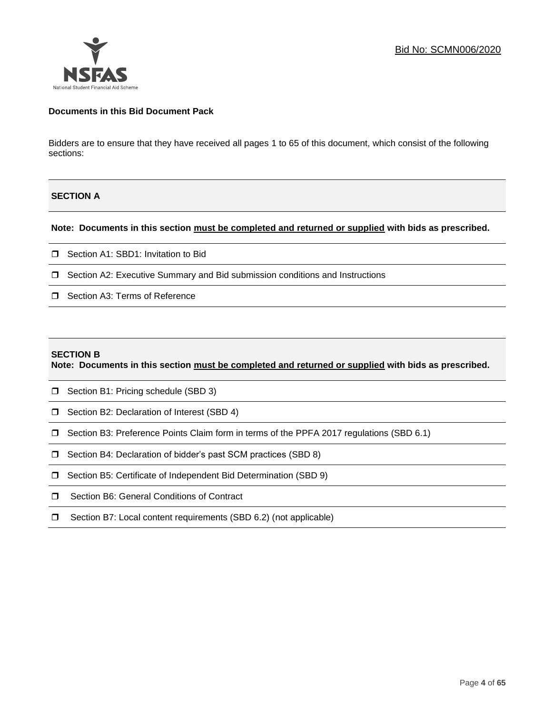

#### **Documents in this Bid Document Pack**

Bidders are to ensure that they have received all pages 1 to 65 of this document, which consist of the following sections:

#### **SECTION A**

#### **Note: Documents in this section must be completed and returned or supplied with bids as prescribed.**

- □ Section A1: SBD1: Invitation to Bid
- □ Section A2: Executive Summary and Bid submission conditions and Instructions
- □ Section A3: Terms of Reference

#### **SECTION B**

**Note: Documents in this section must be completed and returned or supplied with bids as prescribed.**

- **D** Section B1: Pricing schedule (SBD 3)
- □ Section B2: Declaration of Interest (SBD 4)
- Section B3: Preference Points Claim form in terms of the PPFA 2017 regulations (SBD 6.1)
- □ Section B4: Declaration of bidder's past SCM practices (SBD 8)
- □ Section B5: Certificate of Independent Bid Determination (SBD 9)
- **I** Section B6: General Conditions of Contract
- □ Section B7: Local content requirements (SBD 6.2) (not applicable)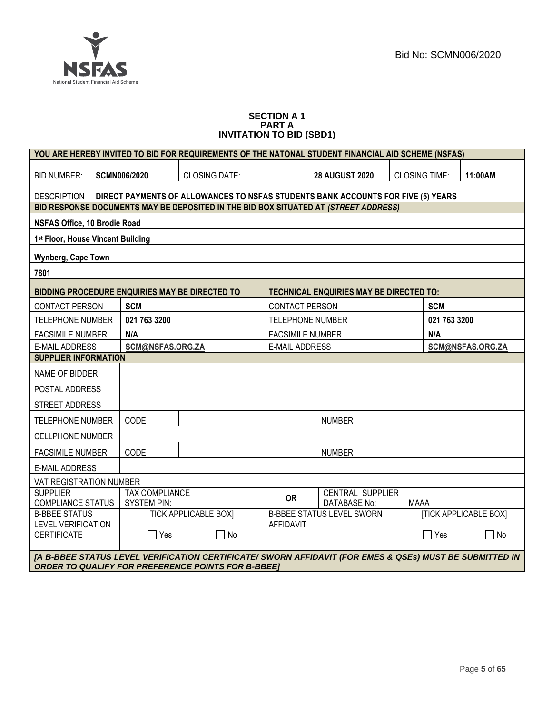

#### **SECTION A 1 PART A INVITATION TO BID (SBD1)**

|                                                                                                                                                                      |                                                                                  |                                             |                             |  |                         |                       | YOU ARE HEREBY INVITED TO BID FOR REQUIREMENTS OF THE NATONAL STUDENT FINANCIAL AID SCHEME (NSFAS) |             |              |                              |
|----------------------------------------------------------------------------------------------------------------------------------------------------------------------|----------------------------------------------------------------------------------|---------------------------------------------|-----------------------------|--|-------------------------|-----------------------|----------------------------------------------------------------------------------------------------|-------------|--------------|------------------------------|
| <b>BID NUMBER:</b>                                                                                                                                                   |                                                                                  | <b>SCMN006/2020</b><br><b>CLOSING DATE:</b> |                             |  |                         | <b>28 AUGUST 2020</b> | <b>CLOSING TIME:</b>                                                                               |             | 11:00AM      |                              |
| <b>DESCRIPTION</b>                                                                                                                                                   | DIRECT PAYMENTS OF ALLOWANCES TO NSFAS STUDENTS BANK ACCOUNTS FOR FIVE (5) YEARS |                                             |                             |  |                         |                       |                                                                                                    |             |              |                              |
|                                                                                                                                                                      |                                                                                  |                                             |                             |  |                         |                       | BID RESPONSE DOCUMENTS MAY BE DEPOSITED IN THE BID BOX SITUATED AT (STREET ADDRESS)                |             |              |                              |
| NSFAS Office, 10 Brodie Road                                                                                                                                         |                                                                                  |                                             |                             |  |                         |                       |                                                                                                    |             |              |                              |
| 1 <sup>st</sup> Floor, House Vincent Building                                                                                                                        |                                                                                  |                                             |                             |  |                         |                       |                                                                                                    |             |              |                              |
| Wynberg, Cape Town                                                                                                                                                   |                                                                                  |                                             |                             |  |                         |                       |                                                                                                    |             |              |                              |
| 7801                                                                                                                                                                 |                                                                                  |                                             |                             |  |                         |                       |                                                                                                    |             |              |                              |
| <b>BIDDING PROCEDURE ENQUIRIES MAY BE DIRECTED TO</b>                                                                                                                |                                                                                  |                                             |                             |  |                         |                       | TECHNICAL ENQUIRIES MAY BE DIRECTED TO:                                                            |             |              |                              |
| <b>CONTACT PERSON</b>                                                                                                                                                |                                                                                  | <b>SCM</b>                                  |                             |  | <b>CONTACT PERSON</b>   |                       |                                                                                                    |             | <b>SCM</b>   |                              |
| <b>TELEPHONE NUMBER</b>                                                                                                                                              |                                                                                  | 021 763 3200                                |                             |  | <b>TELEPHONE NUMBER</b> |                       |                                                                                                    |             | 021 763 3200 |                              |
| <b>FACSIMILE NUMBER</b>                                                                                                                                              |                                                                                  | N/A                                         |                             |  | <b>FACSIMILE NUMBER</b> |                       |                                                                                                    |             | N/A          |                              |
| <b>E-MAIL ADDRESS</b>                                                                                                                                                |                                                                                  | SCM@NSFAS.ORG.ZA                            |                             |  | <b>E-MAIL ADDRESS</b>   |                       | SCM@NSFAS.ORG.ZA                                                                                   |             |              |                              |
| <b>SUPPLIER INFORMATION</b>                                                                                                                                          |                                                                                  |                                             |                             |  |                         |                       |                                                                                                    |             |              |                              |
| NAME OF BIDDER                                                                                                                                                       |                                                                                  |                                             |                             |  |                         |                       |                                                                                                    |             |              |                              |
| POSTAL ADDRESS                                                                                                                                                       |                                                                                  |                                             |                             |  |                         |                       |                                                                                                    |             |              |                              |
| <b>STREET ADDRESS</b>                                                                                                                                                |                                                                                  |                                             |                             |  |                         |                       |                                                                                                    |             |              |                              |
| <b>TELEPHONE NUMBER</b>                                                                                                                                              |                                                                                  | CODE                                        |                             |  |                         |                       | <b>NUMBER</b>                                                                                      |             |              |                              |
| <b>CELLPHONE NUMBER</b>                                                                                                                                              |                                                                                  |                                             |                             |  |                         |                       |                                                                                                    |             |              |                              |
| <b>FACSIMILE NUMBER</b>                                                                                                                                              |                                                                                  | CODE                                        |                             |  |                         |                       | <b>NUMBER</b>                                                                                      |             |              |                              |
| <b>E-MAIL ADDRESS</b>                                                                                                                                                |                                                                                  |                                             |                             |  |                         |                       |                                                                                                    |             |              |                              |
| VAT REGISTRATION NUMBER                                                                                                                                              |                                                                                  |                                             |                             |  |                         |                       |                                                                                                    |             |              |                              |
| <b>SUPPLIER</b><br><b>COMPLIANCE STATUS</b>                                                                                                                          |                                                                                  | <b>TAX COMPLIANCE</b><br><b>SYSTEM PIN:</b> |                             |  | <b>OR</b>               |                       | <b>CENTRAL SUPPLIER</b><br><b>DATABASE No:</b>                                                     | <b>MAAA</b> |              |                              |
| <b>B-BBEE STATUS</b>                                                                                                                                                 |                                                                                  |                                             | <b>TICK APPLICABLE BOXI</b> |  |                         |                       | <b>B-BBEE STATUS LEVEL SWORN</b>                                                                   |             |              | <b>[TICK APPLICABLE BOX]</b> |
| <b>LEVEL VERIFICATION</b><br><b>CERTIFICATE</b>                                                                                                                      |                                                                                  | $\Box$ Yes                                  | $\Box$ No                   |  | <b>AFFIDAVIT</b>        |                       |                                                                                                    |             | $\Box$ Yes   | No<br>×                      |
|                                                                                                                                                                      |                                                                                  |                                             |                             |  |                         |                       |                                                                                                    |             |              |                              |
| [A B-BBEE STATUS LEVEL VERIFICATION CERTIFICATE/ SWORN AFFIDAVIT (FOR EMES & QSEs) MUST BE SUBMITTED IN<br><b>ORDER TO QUALIFY FOR PREFERENCE POINTS FOR B-BBEET</b> |                                                                                  |                                             |                             |  |                         |                       |                                                                                                    |             |              |                              |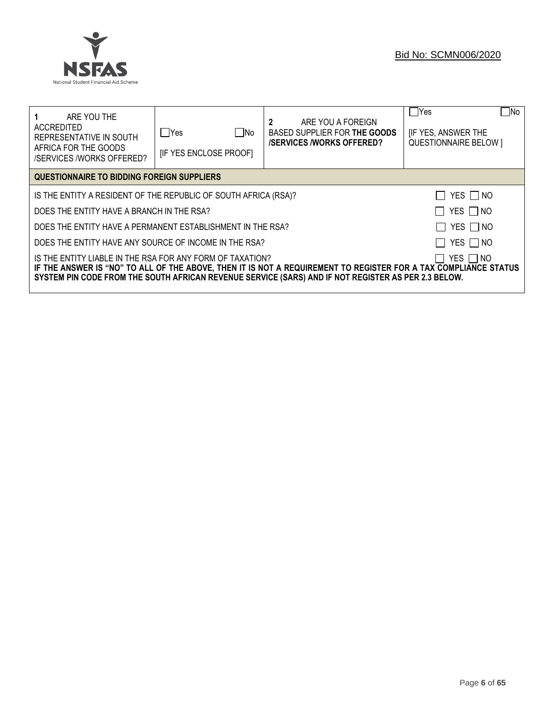

| ARE YOU THE<br>ACCREDITED<br>REPRESENTATIVE IN SOUTH<br>AFRICA FOR THE GOODS<br>/SERVICES /WORKS OFFERED?                                                                                                                                                                                        | ∏ No<br>lYes<br><b>IF YES ENCLOSE PROOFI</b>                                     | 2<br>ARE YOU A FOREIGN<br>BASED SUPPLIER FOR THE GOODS<br><b>/SERVICES/WORKS OFFERED?</b> | No<br>  Yes<br><b>IF YES, ANSWER THE</b><br><b>QUESTIONNAIRE BELOW 1</b> |  |  |  |
|--------------------------------------------------------------------------------------------------------------------------------------------------------------------------------------------------------------------------------------------------------------------------------------------------|----------------------------------------------------------------------------------|-------------------------------------------------------------------------------------------|--------------------------------------------------------------------------|--|--|--|
| QUESTIONNAIRE TO BIDDING FOREIGN SUPPLIERS                                                                                                                                                                                                                                                       |                                                                                  |                                                                                           |                                                                          |  |  |  |
|                                                                                                                                                                                                                                                                                                  | YES $\Box$ NO<br>IS THE ENTITY A RESIDENT OF THE REPUBLIC OF SOUTH AFRICA (RSA)? |                                                                                           |                                                                          |  |  |  |
| DOES THE ENTITY HAVE A BRANCH IN THE RSA?                                                                                                                                                                                                                                                        |                                                                                  |                                                                                           | YES □ NO                                                                 |  |  |  |
| DOES THE ENTITY HAVE A PERMANENT ESTABLISHMENT IN THE RSA?                                                                                                                                                                                                                                       |                                                                                  |                                                                                           | YES NO                                                                   |  |  |  |
| YES   NO<br>DOES THE ENTITY HAVE ANY SOURCE OF INCOME IN THE RSA?                                                                                                                                                                                                                                |                                                                                  |                                                                                           |                                                                          |  |  |  |
| IS THE ENTITY LIABLE IN THE RSA FOR ANY FORM OF TAXATION?<br>YES I INO<br>IF THE ANSWER IS "NO" TO ALL OF THE ABOVE, THEN IT IS NOT A REQUIREMENT TO REGISTER FOR A TAX COMPLIANCE STATUS<br>SYSTEM PIN CODE FROM THE SOUTH AFRICAN REVENUE SERVICE (SARS) AND IF NOT REGISTER AS PER 2.3 BELOW. |                                                                                  |                                                                                           |                                                                          |  |  |  |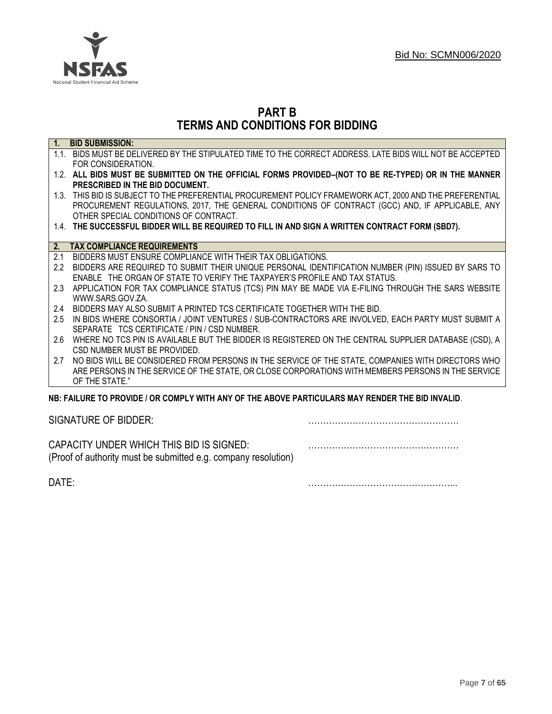

# **PART B TERMS AND CONDITIONS FOR BIDDING**

| $\overline{1}$ . | <b>BID SUBMISSION:</b>                                                                                    |
|------------------|-----------------------------------------------------------------------------------------------------------|
|                  | 1.1. BIDS MUST BE DELIVERED BY THE STIPULATED TIME TO THE CORRECT ADDRESS. LATE BIDS WILL NOT BE ACCEPTED |
|                  | FOR CONSIDERATION.                                                                                        |
|                  | 1.2. ALL BIDS MUST BE SUBMITTED ON THE OFFICIAL FORMS PROVIDED-(NOT TO BE RE-TYPED) OR IN THE MANNER      |
|                  | PRESCRIBED IN THE BID DOCUMENT.                                                                           |
|                  | 1.3. THIS BID IS SUBJECT TO THE PREFERENTIAL PROCUREMENT POLICY FRAMEWORK ACT, 2000 AND THE PREFERENTIAL  |
|                  | PROCUREMENT REGULATIONS, 2017, THE GENERAL CONDITIONS OF CONTRACT (GCC) AND, IF APPLICABLE, ANY           |
|                  | OTHER SPECIAL CONDITIONS OF CONTRACT.                                                                     |
|                  | 1.4. THE SUCCESSFUL BIDDER WILL BE REQUIRED TO FILL IN AND SIGN A WRITTEN CONTRACT FORM (SBD7).           |
|                  |                                                                                                           |
| 2.               | <b>TAX COMPLIANCE REQUIREMENTS</b>                                                                        |
| 2.1              | BIDDERS MUST ENSURE COMPLIANCE WITH THEIR TAX OBLIGATIONS.                                                |
| $2.2^{\circ}$    | BIDDERS ARE REQUIRED TO SUBMIT THEIR UNIQUE PERSONAL IDENTIFICATION NUMBER (PIN) ISSUED BY SARS TO        |
|                  | ENABLE THE ORGAN OF STATE TO VERIFY THE TAXPAYER'S PROFILE AND TAX STATUS.                                |
| 2.3              | APPLICATION FOR TAX COMPLIANCE STATUS (TCS) PIN MAY BE MADE VIA E-FILING THROUGH THE SARS WEBSITE         |
|                  | WWW.SARS.GOV.ZA.                                                                                          |
| 2.4              | BIDDERS MAY ALSO SUBMIT A PRINTED TCS CERTIFICATE TOGETHER WITH THE BID.                                  |
| 2.5              | IN BIDS WHERE CONSORTIA / JOINT VENTURES / SUB-CONTRACTORS ARE INVOLVED, EACH PARTY MUST SUBMIT A         |
|                  | SEPARATE TCS CERTIFICATE / PIN / CSD NUMBER.                                                              |
| 2.6              | WHERE NO TCS PIN IS AVAILABLE BUT THE BIDDER IS REGISTERED ON THE CENTRAL SUPPLIER DATABASE (CSD), A      |
|                  | CSD NUMBER MUST BE PROVIDED.                                                                              |
| 2.7              | NO BIDS WILL BE CONSIDERED FROM PERSONS IN THE SERVICE OF THE STATE, COMPANIES WITH DIRECTORS WHO         |
|                  | ARE PERSONS IN THE SERVICE OF THE STATE, OR CLOSE CORPORATIONS WITH MEMBERS PERSONS IN THE SERVICE        |
|                  | OF THE STATE."                                                                                            |
|                  | NB: FAILURE TO PROVIDE / OR COMPLY WITH ANY OF THE ABOVE PARTICULARS MAY RENDER THE BID INVALID.          |
|                  |                                                                                                           |

SIGNATURE OF BIDDER: ……………………………………………

CAPACITY UNDER WHICH THIS BID IS SIGNED: …………………………………………… (Proof of authority must be submitted e.g. company resolution)

DATE: …………………………………………...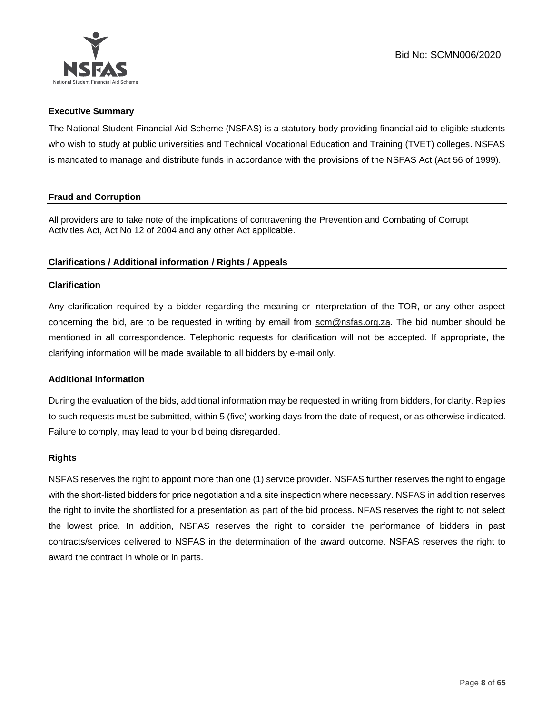

# **Executive Summary**

The National Student Financial Aid Scheme (NSFAS) is a statutory body providing financial aid to eligible students who wish to study at public universities and Technical Vocational Education and Training (TVET) colleges. NSFAS is mandated to manage and distribute funds in accordance with the provisions of the NSFAS Act (Act 56 of 1999).

# **Fraud and Corruption**

All providers are to take note of the implications of contravening the Prevention and Combating of Corrupt Activities Act, Act No 12 of 2004 and any other Act applicable.

# **Clarifications / Additional information / Rights / Appeals**

# **Clarification**

Any clarification required by a bidder regarding the meaning or interpretation of the TOR, or any other aspect concerning the bid, are to be requested in writing by email from scm@nsfas.org.za. The bid number should be mentioned in all correspondence. Telephonic requests for clarification will not be accepted. If appropriate, the clarifying information will be made available to all bidders by e-mail only.

# **Additional Information**

During the evaluation of the bids, additional information may be requested in writing from bidders, for clarity. Replies to such requests must be submitted, within 5 (five) working days from the date of request, or as otherwise indicated. Failure to comply, may lead to your bid being disregarded.

#### **Rights**

NSFAS reserves the right to appoint more than one (1) service provider. NSFAS further reserves the right to engage with the short-listed bidders for price negotiation and a site inspection where necessary. NSFAS in addition reserves the right to invite the shortlisted for a presentation as part of the bid process. NFAS reserves the right to not select the lowest price. In addition, NSFAS reserves the right to consider the performance of bidders in past contracts/services delivered to NSFAS in the determination of the award outcome. NSFAS reserves the right to award the contract in whole or in parts.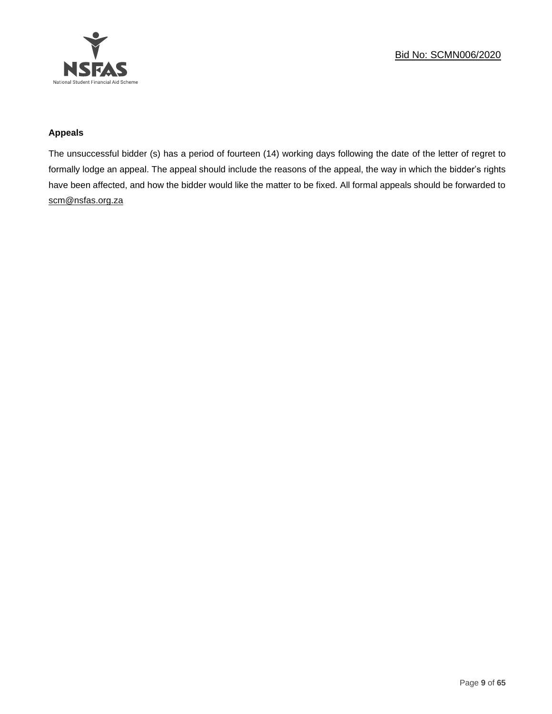

# **Appeals**

The unsuccessful bidder (s) has a period of fourteen (14) working days following the date of the letter of regret to formally lodge an appeal. The appeal should include the reasons of the appeal, the way in which the bidder's rights have been affected, and how the bidder would like the matter to be fixed. All formal appeals should be forwarded to [scm@nsfas.org.za](mailto:scm@nsfas.org.za)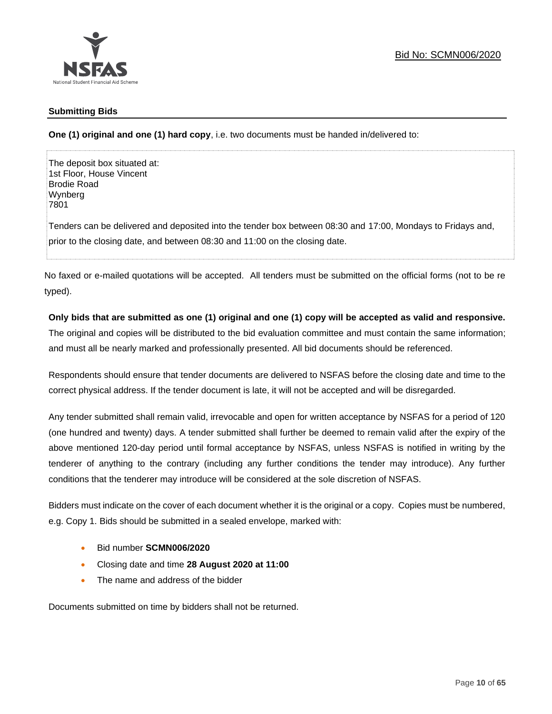

# **Submitting Bids**

**One (1) original and one (1) hard copy**, i.e. two documents must be handed in/delivered to:

The deposit box situated at: 1st Floor, House Vincent Brodie Road Wynberg 7801

Tenders can be delivered and deposited into the tender box between 08:30 and 17:00, Mondays to Fridays and, prior to the closing date, and between 08:30 and 11:00 on the closing date.

No faxed or e-mailed quotations will be accepted. All tenders must be submitted on the official forms (not to be re typed).

# **Only bids that are submitted as one (1) original and one (1) copy will be accepted as valid and responsive.**

The original and copies will be distributed to the bid evaluation committee and must contain the same information; and must all be nearly marked and professionally presented. All bid documents should be referenced.

Respondents should ensure that tender documents are delivered to NSFAS before the closing date and time to the correct physical address. If the tender document is late, it will not be accepted and will be disregarded.

Any tender submitted shall remain valid, irrevocable and open for written acceptance by NSFAS for a period of 120 (one hundred and twenty) days. A tender submitted shall further be deemed to remain valid after the expiry of the above mentioned 120-day period until formal acceptance by NSFAS, unless NSFAS is notified in writing by the tenderer of anything to the contrary (including any further conditions the tender may introduce). Any further conditions that the tenderer may introduce will be considered at the sole discretion of NSFAS.

Bidders must indicate on the cover of each document whether it is the original or a copy. Copies must be numbered, e.g. Copy 1. Bids should be submitted in a sealed envelope, marked with:

- Bid number **SCMN006/2020**
- Closing date and time **28 August 2020 at 11:00**
- The name and address of the bidder

Documents submitted on time by bidders shall not be returned.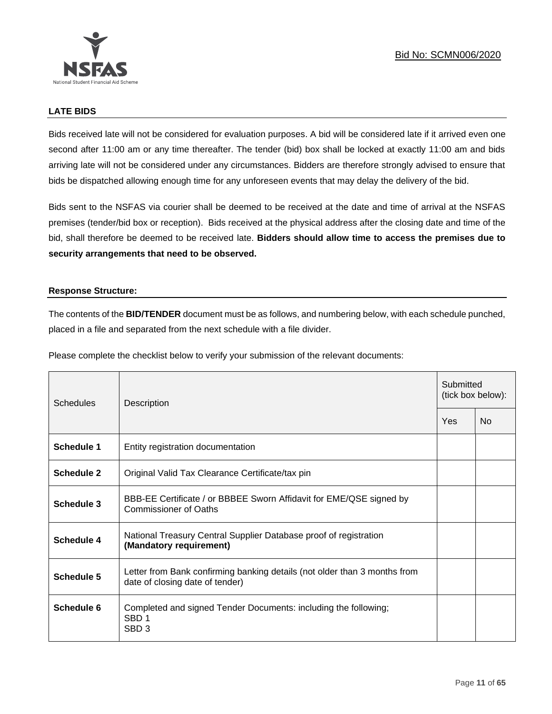

# **LATE BIDS**

Bids received late will not be considered for evaluation purposes. A bid will be considered late if it arrived even one second after 11:00 am or any time thereafter. The tender (bid) box shall be locked at exactly 11:00 am and bids arriving late will not be considered under any circumstances. Bidders are therefore strongly advised to ensure that bids be dispatched allowing enough time for any unforeseen events that may delay the delivery of the bid.

Bids sent to the NSFAS via courier shall be deemed to be received at the date and time of arrival at the NSFAS premises (tender/bid box or reception). Bids received at the physical address after the closing date and time of the bid, shall therefore be deemed to be received late. **Bidders should allow time to access the premises due to security arrangements that need to be observed.**

#### **Response Structure:**

The contents of the **BID/TENDER** document must be as follows, and numbering below, with each schedule punched, placed in a file and separated from the next schedule with a file divider.

Please complete the checklist below to verify your submission of the relevant documents:

| Schedules         | Description                                                                                                  |  | Submitted<br>(tick box below): |  |  |
|-------------------|--------------------------------------------------------------------------------------------------------------|--|--------------------------------|--|--|
|                   |                                                                                                              |  | <b>No</b>                      |  |  |
| <b>Schedule 1</b> | Entity registration documentation                                                                            |  |                                |  |  |
| Schedule 2        | Original Valid Tax Clearance Certificate/tax pin                                                             |  |                                |  |  |
| Schedule 3        | BBB-EE Certificate / or BBBEE Sworn Affidavit for EME/QSE signed by<br>Commissioner of Oaths                 |  |                                |  |  |
| <b>Schedule 4</b> | National Treasury Central Supplier Database proof of registration<br>(Mandatory requirement)                 |  |                                |  |  |
| Schedule 5        | Letter from Bank confirming banking details (not older than 3 months from<br>date of closing date of tender) |  |                                |  |  |
| Schedule 6        | Completed and signed Tender Documents: including the following;<br>SBD <sub>1</sub><br>SBD <sub>3</sub>      |  |                                |  |  |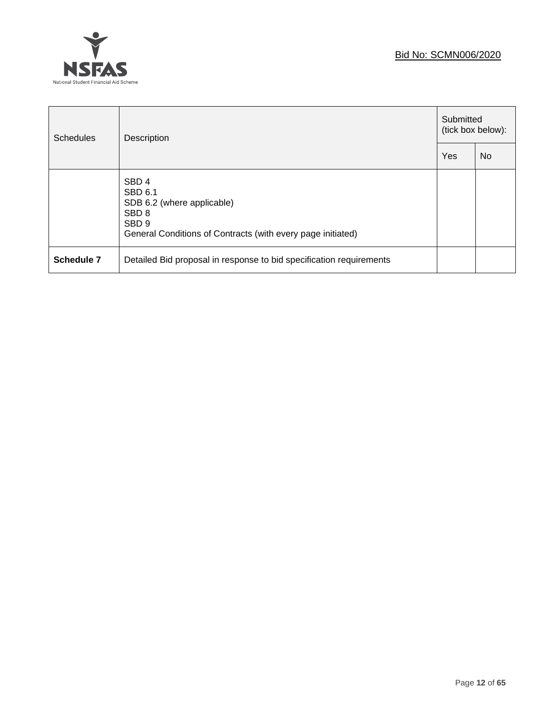

| <b>Schedules</b>  | Description                                                                                                                                                      |  | Submitted<br>(tick box below): |  |
|-------------------|------------------------------------------------------------------------------------------------------------------------------------------------------------------|--|--------------------------------|--|
|                   |                                                                                                                                                                  |  | <b>No</b>                      |  |
|                   | SBD <sub>4</sub><br>SBD 6.1<br>SDB 6.2 (where applicable)<br>SBD <sub>8</sub><br>SBD <sub>9</sub><br>General Conditions of Contracts (with every page initiated) |  |                                |  |
| <b>Schedule 7</b> | Detailed Bid proposal in response to bid specification requirements                                                                                              |  |                                |  |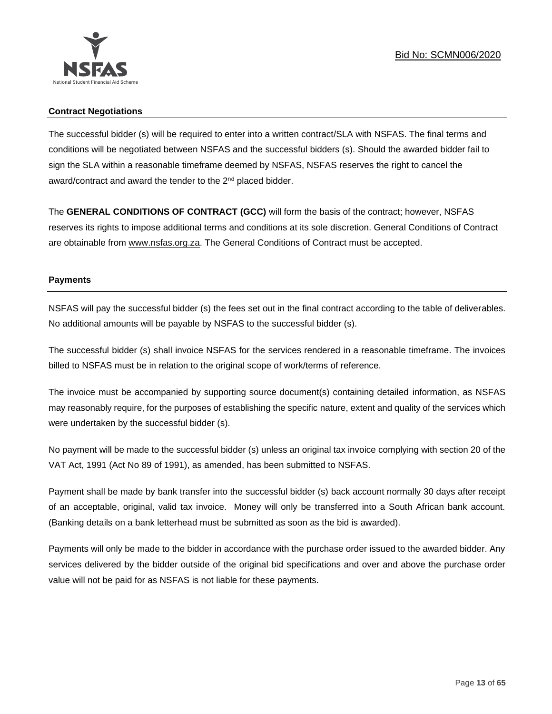

# **Contract Negotiations**

The successful bidder (s) will be required to enter into a written contract/SLA with NSFAS. The final terms and conditions will be negotiated between NSFAS and the successful bidders (s). Should the awarded bidder fail to sign the SLA within a reasonable timeframe deemed by NSFAS, NSFAS reserves the right to cancel the award/contract and award the tender to the 2<sup>nd</sup> placed bidder.

The **GENERAL CONDITIONS OF CONTRACT (GCC)** will form the basis of the contract; however, NSFAS reserves its rights to impose additional terms and conditions at its sole discretion. General Conditions of Contract are obtainable from [www.nsfas.org.za.](http://www.nsfas.org.za/) The General Conditions of Contract must be accepted.

# **Payments**

NSFAS will pay the successful bidder (s) the fees set out in the final contract according to the table of deliverables. No additional amounts will be payable by NSFAS to the successful bidder (s).

The successful bidder (s) shall invoice NSFAS for the services rendered in a reasonable timeframe. The invoices billed to NSFAS must be in relation to the original scope of work/terms of reference.

The invoice must be accompanied by supporting source document(s) containing detailed information, as NSFAS may reasonably require, for the purposes of establishing the specific nature, extent and quality of the services which were undertaken by the successful bidder (s).

No payment will be made to the successful bidder (s) unless an original tax invoice complying with section 20 of the VAT Act, 1991 (Act No 89 of 1991), as amended, has been submitted to NSFAS.

Payment shall be made by bank transfer into the successful bidder (s) back account normally 30 days after receipt of an acceptable, original, valid tax invoice. Money will only be transferred into a South African bank account. (Banking details on a bank letterhead must be submitted as soon as the bid is awarded).

Payments will only be made to the bidder in accordance with the purchase order issued to the awarded bidder. Any services delivered by the bidder outside of the original bid specifications and over and above the purchase order value will not be paid for as NSFAS is not liable for these payments.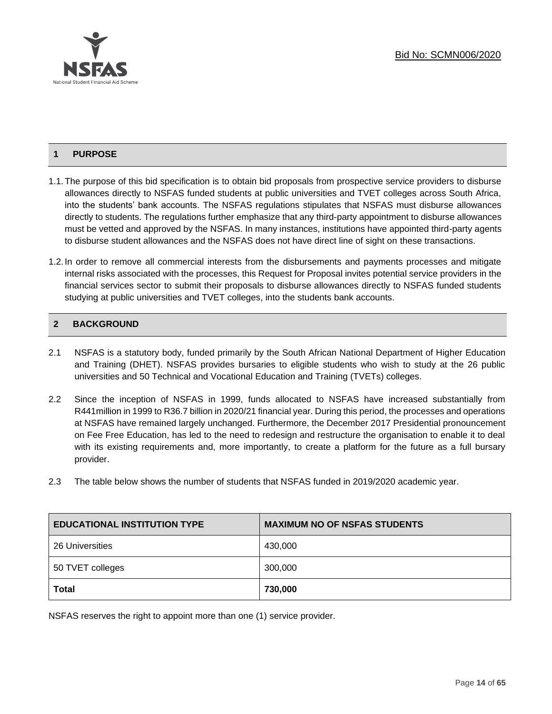# **1 PURPOSE**

- 1.1.The purpose of this bid specification is to obtain bid proposals from prospective service providers to disburse allowances directly to NSFAS funded students at public universities and TVET colleges across South Africa, into the students' bank accounts. The NSFAS regulations stipulates that NSFAS must disburse allowances directly to students. The regulations further emphasize that any third-party appointment to disburse allowances must be vetted and approved by the NSFAS. In many instances, institutions have appointed third-party agents to disburse student allowances and the NSFAS does not have direct line of sight on these transactions.
- 1.2. In order to remove all commercial interests from the disbursements and payments processes and mitigate internal risks associated with the processes, this Request for Proposal invites potential service providers in the financial services sector to submit their proposals to disburse allowances directly to NSFAS funded students studying at public universities and TVET colleges, into the students bank accounts.

# **2 BACKGROUND**

- 2.1 NSFAS is a statutory body, funded primarily by the South African National Department of Higher Education and Training (DHET). NSFAS provides bursaries to eligible students who wish to study at the 26 public universities and 50 Technical and Vocational Education and Training (TVETs) colleges.
- 2.2 Since the inception of NSFAS in 1999, funds allocated to NSFAS have increased substantially from R441million in 1999 to R36.7 billion in 2020/21 financial year. During this period, the processes and operations at NSFAS have remained largely unchanged. Furthermore, the December 2017 Presidential pronouncement on Fee Free Education, has led to the need to redesign and restructure the organisation to enable it to deal with its existing requirements and, more importantly, to create a platform for the future as a full bursary provider.
- 2.3 The table below shows the number of students that NSFAS funded in 2019/2020 academic year.

| <b>EDUCATIONAL INSTITUTION TYPE</b> | <b>MAXIMUM NO OF NSFAS STUDENTS</b> |
|-------------------------------------|-------------------------------------|
| 26 Universities                     | 430,000                             |
| 50 TVET colleges                    | 300,000                             |
| <b>Total</b>                        | 730,000                             |

NSFAS reserves the right to appoint more than one (1) service provider.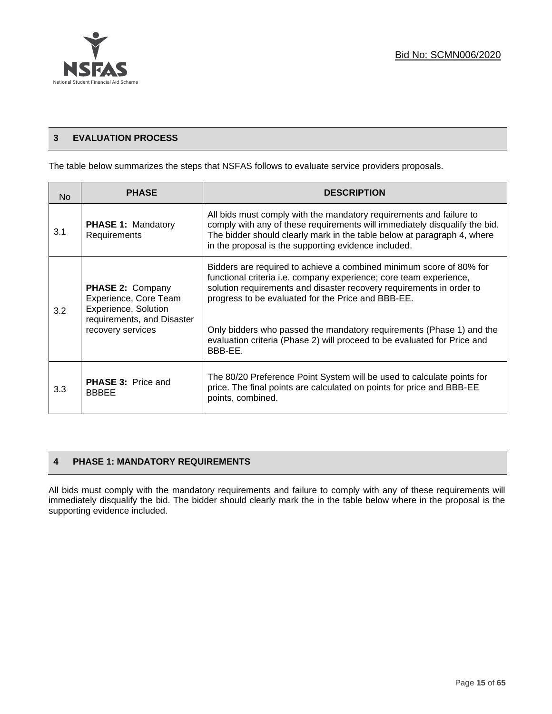

# **3 EVALUATION PROCESS**

The table below summarizes the steps that NSFAS follows to evaluate service providers proposals.

| <b>No</b> | <b>PHASE</b>                                                                                                         | <b>DESCRIPTION</b>                                                                                                                                                                                                                                                                                                                              |
|-----------|----------------------------------------------------------------------------------------------------------------------|-------------------------------------------------------------------------------------------------------------------------------------------------------------------------------------------------------------------------------------------------------------------------------------------------------------------------------------------------|
| 3.1       | <b>PHASE 1: Mandatory</b><br>Requirements                                                                            | All bids must comply with the mandatory requirements and failure to<br>comply with any of these requirements will immediately disqualify the bid.<br>The bidder should clearly mark in the table below at paragraph 4, where<br>in the proposal is the supporting evidence included.                                                            |
| 3.2       | PHASE 2: Company<br>Experience, Core Team<br>Experience, Solution<br>requirements, and Disaster<br>recovery services | Bidders are required to achieve a combined minimum score of 80% for<br>functional criteria i.e. company experience; core team experience,<br>solution requirements and disaster recovery requirements in order to<br>progress to be evaluated for the Price and BBB-EE.<br>Only bidders who passed the mandatory requirements (Phase 1) and the |
|           |                                                                                                                      | evaluation criteria (Phase 2) will proceed to be evaluated for Price and<br>BBB-EE.                                                                                                                                                                                                                                                             |
| 3.3       | <b>PHASE 3: Price and</b><br><b>BBBEE</b>                                                                            | The 80/20 Preference Point System will be used to calculate points for<br>price. The final points are calculated on points for price and BBB-EE<br>points, combined.                                                                                                                                                                            |

# **4 PHASE 1: MANDATORY REQUIREMENTS**

All bids must comply with the mandatory requirements and failure to comply with any of these requirements will immediately disqualify the bid. The bidder should clearly mark the in the table below where in the proposal is the supporting evidence included.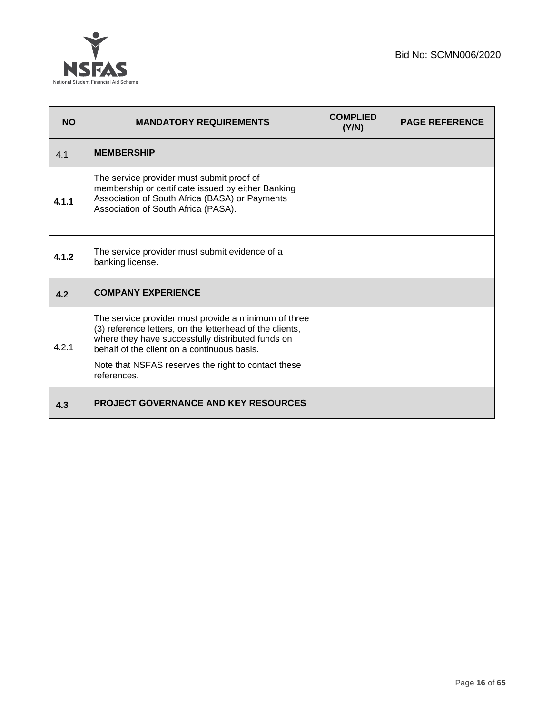

| <b>NO</b> | <b>MANDATORY REQUIREMENTS</b>                                                                                                                                                                                                                                               | <b>COMPLIED</b><br>(Y/N) | <b>PAGE REFERENCE</b> |
|-----------|-----------------------------------------------------------------------------------------------------------------------------------------------------------------------------------------------------------------------------------------------------------------------------|--------------------------|-----------------------|
| 4.1       | <b>MEMBERSHIP</b>                                                                                                                                                                                                                                                           |                          |                       |
| 4.1.1     | The service provider must submit proof of<br>membership or certificate issued by either Banking<br>Association of South Africa (BASA) or Payments<br>Association of South Africa (PASA).                                                                                    |                          |                       |
| 4.1.2     | The service provider must submit evidence of a<br>banking license.                                                                                                                                                                                                          |                          |                       |
| 4.2       | <b>COMPANY EXPERIENCE</b>                                                                                                                                                                                                                                                   |                          |                       |
| 4.2.1     | The service provider must provide a minimum of three<br>(3) reference letters, on the letterhead of the clients,<br>where they have successfully distributed funds on<br>behalf of the client on a continuous basis.<br>Note that NSFAS reserves the right to contact these |                          |                       |
|           | references.                                                                                                                                                                                                                                                                 |                          |                       |
| 4.3       | <b>PROJECT GOVERNANCE AND KEY RESOURCES</b>                                                                                                                                                                                                                                 |                          |                       |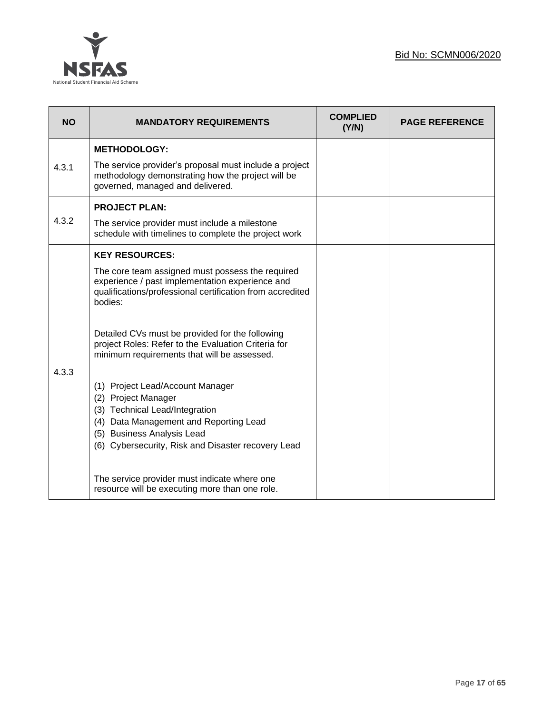

| <b>NO</b> | <b>MANDATORY REQUIREMENTS</b>                                                                                                                                                                                                                                                                                                                                                                                                                                                                                                                                                            | <b>COMPLIED</b><br>(Y/N) | <b>PAGE REFERENCE</b> |
|-----------|------------------------------------------------------------------------------------------------------------------------------------------------------------------------------------------------------------------------------------------------------------------------------------------------------------------------------------------------------------------------------------------------------------------------------------------------------------------------------------------------------------------------------------------------------------------------------------------|--------------------------|-----------------------|
| 4.3.1     | <b>METHODOLOGY:</b><br>The service provider's proposal must include a project<br>methodology demonstrating how the project will be<br>governed, managed and delivered.                                                                                                                                                                                                                                                                                                                                                                                                                   |                          |                       |
| 4.3.2     | <b>PROJECT PLAN:</b><br>The service provider must include a milestone<br>schedule with timelines to complete the project work                                                                                                                                                                                                                                                                                                                                                                                                                                                            |                          |                       |
| 4.3.3     | <b>KEY RESOURCES:</b><br>The core team assigned must possess the required<br>experience / past implementation experience and<br>qualifications/professional certification from accredited<br>bodies:<br>Detailed CVs must be provided for the following<br>project Roles: Refer to the Evaluation Criteria for<br>minimum requirements that will be assessed.<br>(1) Project Lead/Account Manager<br>(2) Project Manager<br>(3) Technical Lead/Integration<br>(4) Data Management and Reporting Lead<br>(5) Business Analysis Lead<br>(6) Cybersecurity, Risk and Disaster recovery Lead |                          |                       |
|           | The service provider must indicate where one<br>resource will be executing more than one role.                                                                                                                                                                                                                                                                                                                                                                                                                                                                                           |                          |                       |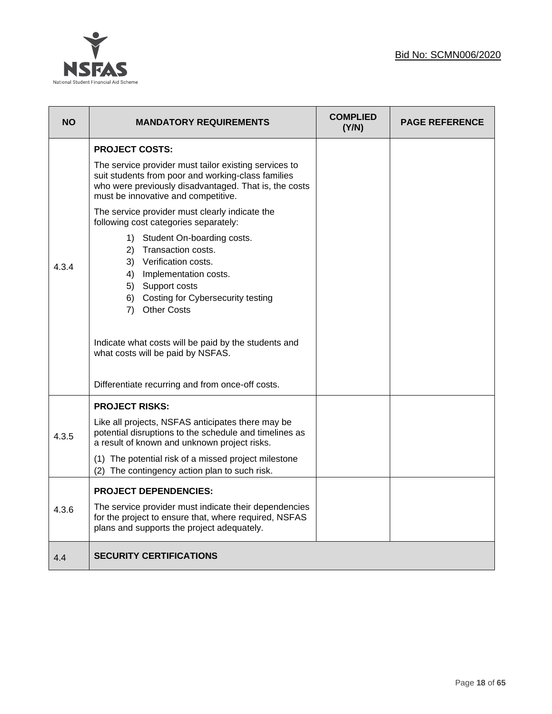

| <b>NO</b> | <b>MANDATORY REQUIREMENTS</b>                                                                                                                                                                               | <b>COMPLIED</b><br>(Y/N) | <b>PAGE REFERENCE</b> |
|-----------|-------------------------------------------------------------------------------------------------------------------------------------------------------------------------------------------------------------|--------------------------|-----------------------|
|           | <b>PROJECT COSTS:</b>                                                                                                                                                                                       |                          |                       |
|           | The service provider must tailor existing services to<br>suit students from poor and working-class families<br>who were previously disadvantaged. That is, the costs<br>must be innovative and competitive. |                          |                       |
|           | The service provider must clearly indicate the<br>following cost categories separately:                                                                                                                     |                          |                       |
| 4.3.4     | 1) Student On-boarding costs.<br>2) Transaction costs.<br>3) Verification costs.<br>4) Implementation costs.<br>5) Support costs<br>6) Costing for Cybersecurity testing<br>7) Other Costs                  |                          |                       |
|           | Indicate what costs will be paid by the students and<br>what costs will be paid by NSFAS.                                                                                                                   |                          |                       |
|           | Differentiate recurring and from once-off costs.                                                                                                                                                            |                          |                       |
|           | <b>PROJECT RISKS:</b>                                                                                                                                                                                       |                          |                       |
| 4.3.5     | Like all projects, NSFAS anticipates there may be<br>potential disruptions to the schedule and timelines as<br>a result of known and unknown project risks.                                                 |                          |                       |
|           | (1) The potential risk of a missed project milestone<br>(2) The contingency action plan to such risk.                                                                                                       |                          |                       |
|           | <b>PROJECT DEPENDENCIES:</b>                                                                                                                                                                                |                          |                       |
| 4.3.6     | The service provider must indicate their dependencies<br>for the project to ensure that, where required, NSFAS<br>plans and supports the project adequately.                                                |                          |                       |
| 4.4       | <b>SECURITY CERTIFICATIONS</b>                                                                                                                                                                              |                          |                       |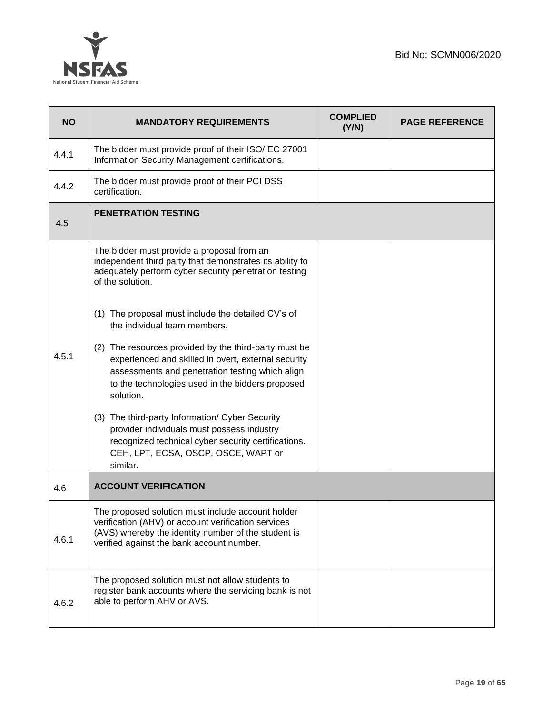



| <b>NO</b> | <b>MANDATORY REQUIREMENTS</b>                                                                                                                                                                                                    | <b>COMPLIED</b><br>(Y/N) | <b>PAGE REFERENCE</b> |
|-----------|----------------------------------------------------------------------------------------------------------------------------------------------------------------------------------------------------------------------------------|--------------------------|-----------------------|
| 4.4.1     | The bidder must provide proof of their ISO/IEC 27001<br>Information Security Management certifications.                                                                                                                          |                          |                       |
| 4.4.2     | The bidder must provide proof of their PCI DSS<br>certification.                                                                                                                                                                 |                          |                       |
| 4.5       | <b>PENETRATION TESTING</b>                                                                                                                                                                                                       |                          |                       |
|           | The bidder must provide a proposal from an<br>independent third party that demonstrates its ability to<br>adequately perform cyber security penetration testing<br>of the solution.                                              |                          |                       |
|           | (1) The proposal must include the detailed CV's of<br>the individual team members.                                                                                                                                               |                          |                       |
| 4.5.1     | (2) The resources provided by the third-party must be<br>experienced and skilled in overt, external security<br>assessments and penetration testing which align<br>to the technologies used in the bidders proposed<br>solution. |                          |                       |
|           | (3) The third-party Information/ Cyber Security<br>provider individuals must possess industry<br>recognized technical cyber security certifications.<br>CEH, LPT, ECSA, OSCP, OSCE, WAPT or<br>similar.                          |                          |                       |
| 4.6       | <b>ACCOUNT VERIFICATION</b>                                                                                                                                                                                                      |                          |                       |
| 4.6.1     | The proposed solution must include account holder<br>verification (AHV) or account verification services<br>(AVS) whereby the identity number of the student is<br>verified against the bank account number.                     |                          |                       |
| 4.6.2     | The proposed solution must not allow students to<br>register bank accounts where the servicing bank is not<br>able to perform AHV or AVS.                                                                                        |                          |                       |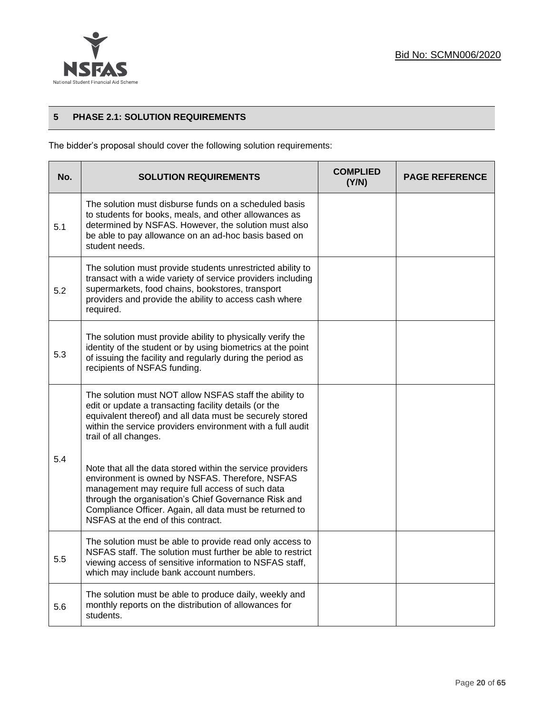

# **5 PHASE 2.1: SOLUTION REQUIREMENTS**

The bidder's proposal should cover the following solution requirements:

| No. | <b>SOLUTION REQUIREMENTS</b>                                                                                                                                                                                                                                                                                              | <b>COMPLIED</b><br>(Y/N) | <b>PAGE REFERENCE</b> |
|-----|---------------------------------------------------------------------------------------------------------------------------------------------------------------------------------------------------------------------------------------------------------------------------------------------------------------------------|--------------------------|-----------------------|
| 5.1 | The solution must disburse funds on a scheduled basis<br>to students for books, meals, and other allowances as<br>determined by NSFAS. However, the solution must also<br>be able to pay allowance on an ad-hoc basis based on<br>student needs.                                                                          |                          |                       |
| 5.2 | The solution must provide students unrestricted ability to<br>transact with a wide variety of service providers including<br>supermarkets, food chains, bookstores, transport<br>providers and provide the ability to access cash where<br>required.                                                                      |                          |                       |
| 5.3 | The solution must provide ability to physically verify the<br>identity of the student or by using biometrics at the point<br>of issuing the facility and regularly during the period as<br>recipients of NSFAS funding.                                                                                                   |                          |                       |
|     | The solution must NOT allow NSFAS staff the ability to<br>edit or update a transacting facility details (or the<br>equivalent thereof) and all data must be securely stored<br>within the service providers environment with a full audit<br>trail of all changes.                                                        |                          |                       |
| 5.4 | Note that all the data stored within the service providers<br>environment is owned by NSFAS. Therefore, NSFAS<br>management may require full access of such data<br>through the organisation's Chief Governance Risk and<br>Compliance Officer. Again, all data must be returned to<br>NSFAS at the end of this contract. |                          |                       |
| 5.5 | The solution must be able to provide read only access to<br>NSFAS staff. The solution must further be able to restrict<br>viewing access of sensitive information to NSFAS staff,<br>which may include bank account numbers.                                                                                              |                          |                       |
| 5.6 | The solution must be able to produce daily, weekly and<br>monthly reports on the distribution of allowances for<br>students.                                                                                                                                                                                              |                          |                       |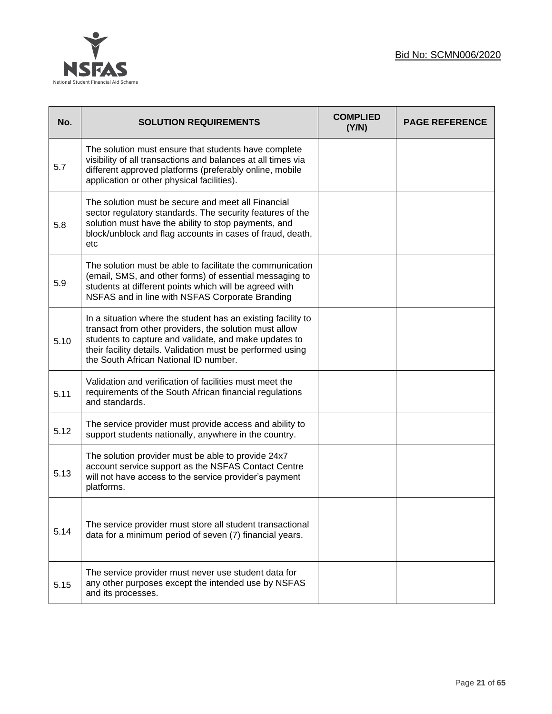

| No.  | <b>SOLUTION REQUIREMENTS</b>                                                                                                                                                                                                                                                           | <b>COMPLIED</b><br>(Y/N) | <b>PAGE REFERENCE</b> |
|------|----------------------------------------------------------------------------------------------------------------------------------------------------------------------------------------------------------------------------------------------------------------------------------------|--------------------------|-----------------------|
| 5.7  | The solution must ensure that students have complete<br>visibility of all transactions and balances at all times via<br>different approved platforms (preferably online, mobile<br>application or other physical facilities).                                                          |                          |                       |
| 5.8  | The solution must be secure and meet all Financial<br>sector regulatory standards. The security features of the<br>solution must have the ability to stop payments, and<br>block/unblock and flag accounts in cases of fraud, death,<br>etc                                            |                          |                       |
| 5.9  | The solution must be able to facilitate the communication<br>(email, SMS, and other forms) of essential messaging to<br>students at different points which will be agreed with<br>NSFAS and in line with NSFAS Corporate Branding                                                      |                          |                       |
| 5.10 | In a situation where the student has an existing facility to<br>transact from other providers, the solution must allow<br>students to capture and validate, and make updates to<br>their facility details. Validation must be performed using<br>the South African National ID number. |                          |                       |
| 5.11 | Validation and verification of facilities must meet the<br>requirements of the South African financial regulations<br>and standards.                                                                                                                                                   |                          |                       |
| 5.12 | The service provider must provide access and ability to<br>support students nationally, anywhere in the country.                                                                                                                                                                       |                          |                       |
| 5.13 | The solution provider must be able to provide 24x7<br>account service support as the NSFAS Contact Centre<br>will not have access to the service provider's payment<br>platforms.                                                                                                      |                          |                       |
| 5.14 | The service provider must store all student transactional<br>data for a minimum period of seven (7) financial years.                                                                                                                                                                   |                          |                       |
| 5.15 | The service provider must never use student data for<br>any other purposes except the intended use by NSFAS<br>and its processes.                                                                                                                                                      |                          |                       |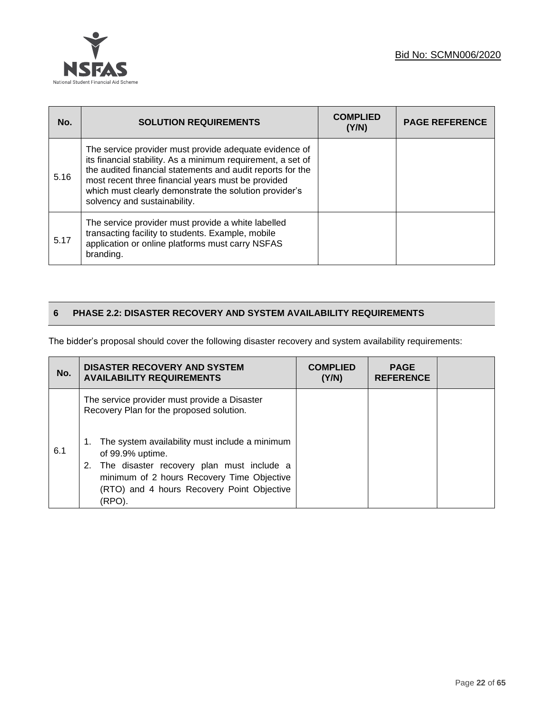

| No.  | <b>SOLUTION REQUIREMENTS</b>                                                                                                                                                                                                                                                                                                        | <b>COMPLIED</b><br>(Y/N) | <b>PAGE REFERENCE</b> |
|------|-------------------------------------------------------------------------------------------------------------------------------------------------------------------------------------------------------------------------------------------------------------------------------------------------------------------------------------|--------------------------|-----------------------|
| 5.16 | The service provider must provide adequate evidence of<br>its financial stability. As a minimum requirement, a set of<br>the audited financial statements and audit reports for the<br>most recent three financial years must be provided<br>which must clearly demonstrate the solution provider's<br>solvency and sustainability. |                          |                       |
| 5.17 | The service provider must provide a white labelled<br>transacting facility to students. Example, mobile<br>application or online platforms must carry NSFAS<br>branding.                                                                                                                                                            |                          |                       |

# **6 PHASE 2.2: DISASTER RECOVERY AND SYSTEM AVAILABILITY REQUIREMENTS**

The bidder's proposal should cover the following disaster recovery and system availability requirements:

| No. | <b>DISASTER RECOVERY AND SYSTEM</b><br><b>AVAILABILITY REQUIREMENTS</b>                                                                                                                                                           | <b>COMPLIED</b><br>(Y/N) | <b>PAGE</b><br><b>REFERENCE</b> |  |
|-----|-----------------------------------------------------------------------------------------------------------------------------------------------------------------------------------------------------------------------------------|--------------------------|---------------------------------|--|
|     | The service provider must provide a Disaster<br>Recovery Plan for the proposed solution.                                                                                                                                          |                          |                                 |  |
| 6.1 | The system availability must include a minimum<br>1.<br>of 99.9% uptime.<br>The disaster recovery plan must include a<br>2.<br>minimum of 2 hours Recovery Time Objective<br>(RTO) and 4 hours Recovery Point Objective<br>(RPO). |                          |                                 |  |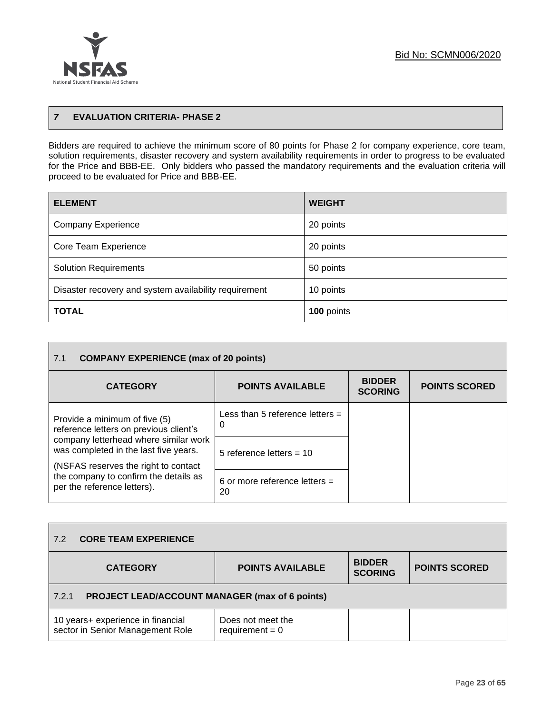

# *7* **EVALUATION CRITERIA- PHASE 2**

Bidders are required to achieve the minimum score of 80 points for Phase 2 for company experience, core team, solution requirements, disaster recovery and system availability requirements in order to progress to be evaluated for the Price and BBB-EE. Only bidders who passed the mandatory requirements and the evaluation criteria will proceed to be evaluated for Price and BBB-EE.

| <b>ELEMENT</b>                                        | <b>WEIGHT</b> |
|-------------------------------------------------------|---------------|
| <b>Company Experience</b>                             | 20 points     |
| Core Team Experience                                  | 20 points     |
| <b>Solution Requirements</b>                          | 50 points     |
| Disaster recovery and system availability requirement | 10 points     |
| <b>TOTAL</b>                                          | 100 points    |

| <b>COMPANY EXPERIENCE (max of 20 points)</b><br>7.1                                                                     |                                        |                                 |                      |
|-------------------------------------------------------------------------------------------------------------------------|----------------------------------------|---------------------------------|----------------------|
| <b>CATEGORY</b>                                                                                                         | <b>POINTS AVAILABLE</b>                | <b>BIDDER</b><br><b>SCORING</b> | <b>POINTS SCORED</b> |
| Provide a minimum of five (5)<br>reference letters on previous client's                                                 | Less than 5 reference letters $=$<br>0 |                                 |                      |
| company letterhead where similar work<br>was completed in the last five years.<br>(NSFAS reserves the right to contact) | 5 reference letters $=$ 10             |                                 |                      |
| the company to confirm the details as<br>per the reference letters).                                                    | 6 or more reference letters $=$<br>20  |                                 |                      |

| 7.2   | <b>CORE TEAM EXPERIENCE</b>                                           |                                        |                                 |                      |  |
|-------|-----------------------------------------------------------------------|----------------------------------------|---------------------------------|----------------------|--|
|       | <b>CATEGORY</b>                                                       | <b>POINTS AVAILABLE</b>                | <b>BIDDER</b><br><b>SCORING</b> | <b>POINTS SCORED</b> |  |
| 7.2.1 | <b>PROJECT LEAD/ACCOUNT MANAGER (max of 6 points)</b>                 |                                        |                                 |                      |  |
|       | 10 years+ experience in financial<br>sector in Senior Management Role | Does not meet the<br>requirement $= 0$ |                                 |                      |  |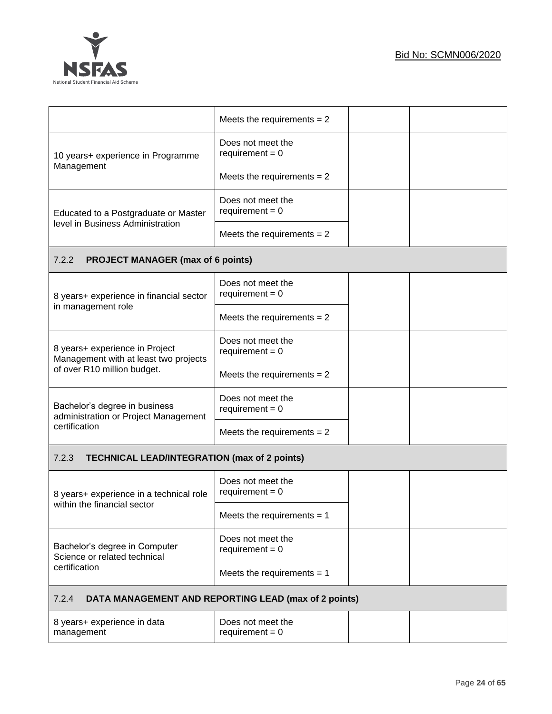



|                                                                          | Meets the requirements $= 2$           |  |  |
|--------------------------------------------------------------------------|----------------------------------------|--|--|
| 10 years+ experience in Programme                                        | Does not meet the<br>requirement = $0$ |  |  |
| Management                                                               | Meets the requirements $= 2$           |  |  |
| Educated to a Postgraduate or Master<br>level in Business Administration | Does not meet the<br>requirement = $0$ |  |  |
|                                                                          | Meets the requirements $= 2$           |  |  |
| 7.2.2<br><b>PROJECT MANAGER (max of 6 points)</b>                        |                                        |  |  |
| 8 years+ experience in financial sector                                  | Does not meet the<br>requirement = $0$ |  |  |
| in management role                                                       | Meets the requirements $= 2$           |  |  |
| 8 years+ experience in Project<br>Management with at least two projects  | Does not meet the<br>requirement = $0$ |  |  |
| of over R10 million budget.                                              | Meets the requirements $= 2$           |  |  |
| Bachelor's degree in business<br>administration or Project Management    | Does not meet the<br>$requirement = 0$ |  |  |
| certification                                                            | Meets the requirements $= 2$           |  |  |
| 7.2.3<br><b>TECHNICAL LEAD/INTEGRATION (max of 2 points)</b>             |                                        |  |  |
| 8 years+ experience in a technical role                                  | Does not meet the<br>$requirement = 0$ |  |  |
| within the financial sector                                              | Meets the requirements $= 1$           |  |  |
| Bachelor's degree in Computer<br>Science or related technical            | Does not meet the<br>requirement = $0$ |  |  |
| certification                                                            | Meets the requirements $= 1$           |  |  |
| 7.2.4<br>DATA MANAGEMENT AND REPORTING LEAD (max of 2 points)            |                                        |  |  |
| 8 years+ experience in data<br>management                                | Does not meet the<br>requirement = $0$ |  |  |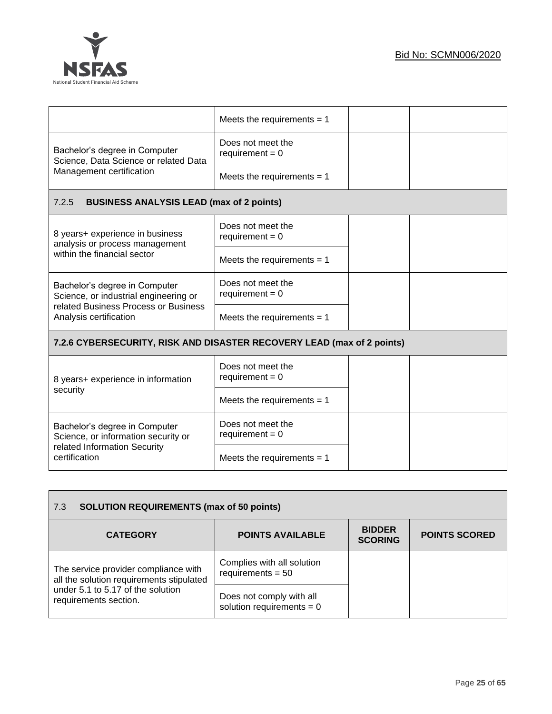

|                                                                        | Meets the requirements $= 1$           |  |
|------------------------------------------------------------------------|----------------------------------------|--|
| Bachelor's degree in Computer<br>Science, Data Science or related Data | Does not meet the<br>$requirement = 0$ |  |
| Management certification                                               | Meets the requirements $= 1$           |  |
| <b>BUSINESS ANALYSIS LEAD (max of 2 points)</b><br>7.2.5               |                                        |  |
| 8 years+ experience in business<br>analysis or process management      | Does not meet the<br>requirement = $0$ |  |
| within the financial sector                                            | Meets the requirements $= 1$           |  |
| Bachelor's degree in Computer<br>Science, or industrial engineering or | Does not meet the<br>$requirement = 0$ |  |
| related Business Process or Business<br>Analysis certification         | Meets the requirements $= 1$           |  |
| 7.2.6 CYBERSECURITY, RISK AND DISASTER RECOVERY LEAD (max of 2 points) |                                        |  |
| 8 years+ experience in information                                     | Does not meet the<br>$requirement = 0$ |  |
| security                                                               | Meets the requirements $= 1$           |  |
| Bachelor's degree in Computer<br>Science, or information security or   | Does not meet the<br>requirement = $0$ |  |
| related Information Security<br>certification                          | Meets the requirements $= 1$           |  |

| <b>SOLUTION REQUIREMENTS (max of 50 points)</b><br>7.3                           |                                                         |                                 |                      |  |
|----------------------------------------------------------------------------------|---------------------------------------------------------|---------------------------------|----------------------|--|
| <b>CATEGORY</b>                                                                  | <b>POINTS AVAILABLE</b>                                 | <b>BIDDER</b><br><b>SCORING</b> | <b>POINTS SCORED</b> |  |
| The service provider compliance with<br>all the solution requirements stipulated | Complies with all solution<br>requirements = $50$       |                                 |                      |  |
| under 5.1 to 5.17 of the solution<br>requirements section.                       | Does not comply with all<br>solution requirements = $0$ |                                 |                      |  |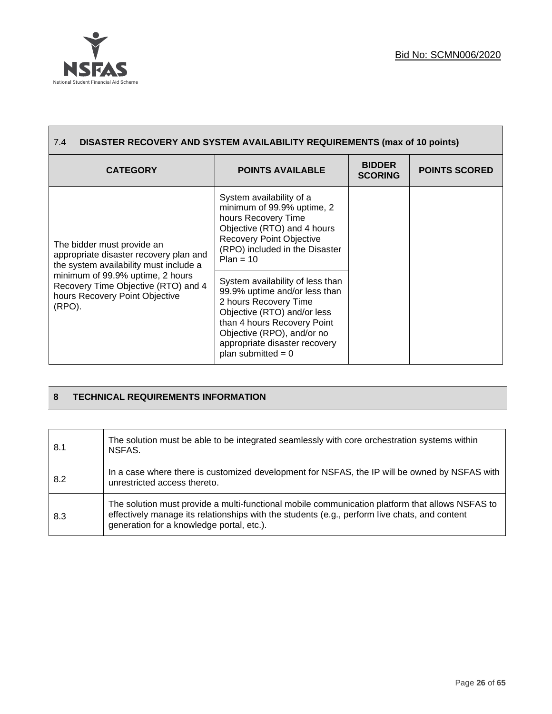



| DISASTER RECOVERY AND SYSTEM AVAILABILITY REQUIREMENTS (max of 10 points)<br>7.4                                    |                                                                                                                                                                                                                                                 |                                 |                      |
|---------------------------------------------------------------------------------------------------------------------|-------------------------------------------------------------------------------------------------------------------------------------------------------------------------------------------------------------------------------------------------|---------------------------------|----------------------|
| <b>CATEGORY</b>                                                                                                     | <b>POINTS AVAILABLE</b>                                                                                                                                                                                                                         | <b>BIDDER</b><br><b>SCORING</b> | <b>POINTS SCORED</b> |
| The bidder must provide an<br>appropriate disaster recovery plan and<br>the system availability must include a      | System availability of a<br>minimum of 99.9% uptime, 2<br>hours Recovery Time<br>Objective (RTO) and 4 hours<br><b>Recovery Point Objective</b><br>(RPO) included in the Disaster<br>$Plan = 10$                                                |                                 |                      |
| minimum of 99.9% uptime, 2 hours<br>Recovery Time Objective (RTO) and 4<br>hours Recovery Point Objective<br>(RPO). | System availability of less than<br>99.9% uptime and/or less than<br>2 hours Recovery Time<br>Objective (RTO) and/or less<br>than 4 hours Recovery Point<br>Objective (RPO), and/or no<br>appropriate disaster recovery<br>plan submitted = $0$ |                                 |                      |

# **8 TECHNICAL REQUIREMENTS INFORMATION**

| 8.1 | The solution must be able to be integrated seamlessly with core or chestration systems within<br>NSFAS.                                                                                                                                       |
|-----|-----------------------------------------------------------------------------------------------------------------------------------------------------------------------------------------------------------------------------------------------|
| 8.2 | In a case where there is customized development for NSFAS, the IP will be owned by NSFAS with<br>unrestricted access thereto.                                                                                                                 |
| 8.3 | The solution must provide a multi-functional mobile communication platform that allows NSFAS to<br>effectively manage its relationships with the students (e.g., perform live chats, and content<br>generation for a knowledge portal, etc.). |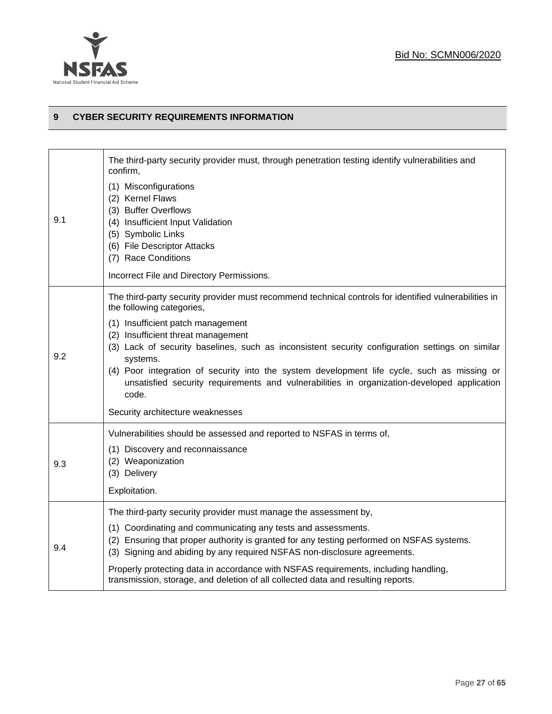

#### **9 CYBER SECURITY REQUIREMENTS INFORMATION**

|     | The third-party security provider must, through penetration testing identify vulnerabilities and<br>confirm,                                                                                                                           |
|-----|----------------------------------------------------------------------------------------------------------------------------------------------------------------------------------------------------------------------------------------|
| 9.1 | (1) Misconfigurations<br>(2) Kernel Flaws<br>(3) Buffer Overflows<br>(4) Insufficient Input Validation<br>(5) Symbolic Links<br>(6) File Descriptor Attacks<br>(7) Race Conditions<br>Incorrect File and Directory Permissions.        |
|     | The third-party security provider must recommend technical controls for identified vulnerabilities in<br>the following categories,                                                                                                     |
| 9.2 | (1) Insufficient patch management                                                                                                                                                                                                      |
|     | (2) Insufficient threat management<br>(3) Lack of security baselines, such as inconsistent security configuration settings on similar                                                                                                  |
|     | systems.<br>(4) Poor integration of security into the system development life cycle, such as missing or<br>unsatisfied security requirements and vulnerabilities in organization-developed application<br>code.                        |
|     | Security architecture weaknesses                                                                                                                                                                                                       |
|     | Vulnerabilities should be assessed and reported to NSFAS in terms of,                                                                                                                                                                  |
| 9.3 | (1) Discovery and reconnaissance<br>(2) Weaponization<br>(3) Delivery                                                                                                                                                                  |
|     | Exploitation.                                                                                                                                                                                                                          |
|     | The third-party security provider must manage the assessment by,                                                                                                                                                                       |
| 9.4 | (1) Coordinating and communicating any tests and assessments.<br>(2) Ensuring that proper authority is granted for any testing performed on NSFAS systems.<br>(3) Signing and abiding by any required NSFAS non-disclosure agreements. |
|     | Properly protecting data in accordance with NSFAS requirements, including handling,<br>transmission, storage, and deletion of all collected data and resulting reports.                                                                |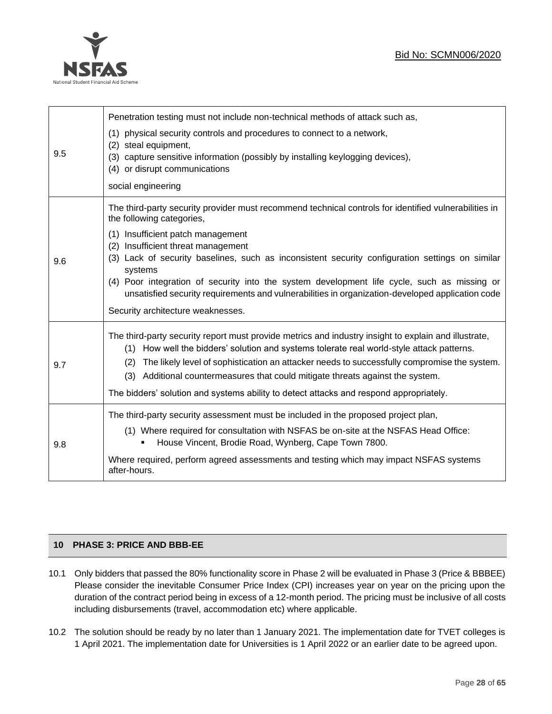

| 9.5 | Penetration testing must not include non-technical methods of attack such as,<br>physical security controls and procedures to connect to a network,<br>(1)<br>steal equipment,<br>(2)<br>capture sensitive information (possibly by installing keylogging devices),<br>(3)<br>(4) or disrupt communications<br>social engineering                                                                                                                                                                                                                                   |
|-----|---------------------------------------------------------------------------------------------------------------------------------------------------------------------------------------------------------------------------------------------------------------------------------------------------------------------------------------------------------------------------------------------------------------------------------------------------------------------------------------------------------------------------------------------------------------------|
| 9.6 | The third-party security provider must recommend technical controls for identified vulnerabilities in<br>the following categories,<br>(1) Insufficient patch management<br>(2) Insufficient threat management<br>(3) Lack of security baselines, such as inconsistent security configuration settings on similar<br>systems<br>(4) Poor integration of security into the system development life cycle, such as missing or<br>unsatisfied security requirements and vulnerabilities in organization-developed application code<br>Security architecture weaknesses. |
| 9.7 | The third-party security report must provide metrics and industry insight to explain and illustrate,<br>(1) How well the bidders' solution and systems tolerate real world-style attack patterns.<br>(2) The likely level of sophistication an attacker needs to successfully compromise the system.<br>(3) Additional countermeasures that could mitigate threats against the system.<br>The bidders' solution and systems ability to detect attacks and respond appropriately.                                                                                    |
| 9.8 | The third-party security assessment must be included in the proposed project plan,<br>(1) Where required for consultation with NSFAS be on-site at the NSFAS Head Office:<br>House Vincent, Brodie Road, Wynberg, Cape Town 7800.<br>Where required, perform agreed assessments and testing which may impact NSFAS systems<br>after-hours.                                                                                                                                                                                                                          |

# **10 PHASE 3: PRICE AND BBB-EE**

- 10.1 Only bidders that passed the 80% functionality score in Phase 2 will be evaluated in Phase 3 (Price & BBBEE) Please consider the inevitable Consumer Price Index (CPI) increases year on year on the pricing upon the duration of the contract period being in excess of a 12-month period. The pricing must be inclusive of all costs including disbursements (travel, accommodation etc) where applicable.
- 10.2 The solution should be ready by no later than 1 January 2021. The implementation date for TVET colleges is 1 April 2021. The implementation date for Universities is 1 April 2022 or an earlier date to be agreed upon.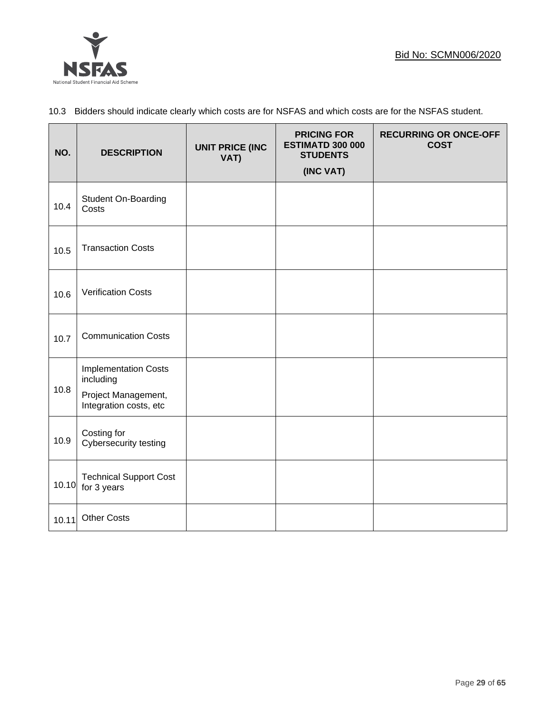

# 10.3 Bidders should indicate clearly which costs are for NSFAS and which costs are for the NSFAS student.

| NO.   | <b>DESCRIPTION</b>                                                                        | <b>UNIT PRICE (INC</b><br>VAT) | <b>PRICING FOR</b><br><b>ESTIMATD 300 000</b><br><b>STUDENTS</b><br>(INC VAT) | <b>RECURRING OR ONCE-OFF</b><br><b>COST</b> |
|-------|-------------------------------------------------------------------------------------------|--------------------------------|-------------------------------------------------------------------------------|---------------------------------------------|
| 10.4  | <b>Student On-Boarding</b><br>Costs                                                       |                                |                                                                               |                                             |
| 10.5  | <b>Transaction Costs</b>                                                                  |                                |                                                                               |                                             |
| 10.6  | <b>Verification Costs</b>                                                                 |                                |                                                                               |                                             |
| 10.7  | <b>Communication Costs</b>                                                                |                                |                                                                               |                                             |
| 10.8  | <b>Implementation Costs</b><br>including<br>Project Management,<br>Integration costs, etc |                                |                                                                               |                                             |
| 10.9  | Costing for<br>Cybersecurity testing                                                      |                                |                                                                               |                                             |
| 10.10 | <b>Technical Support Cost</b><br>for 3 years                                              |                                |                                                                               |                                             |
| 10.11 | <b>Other Costs</b>                                                                        |                                |                                                                               |                                             |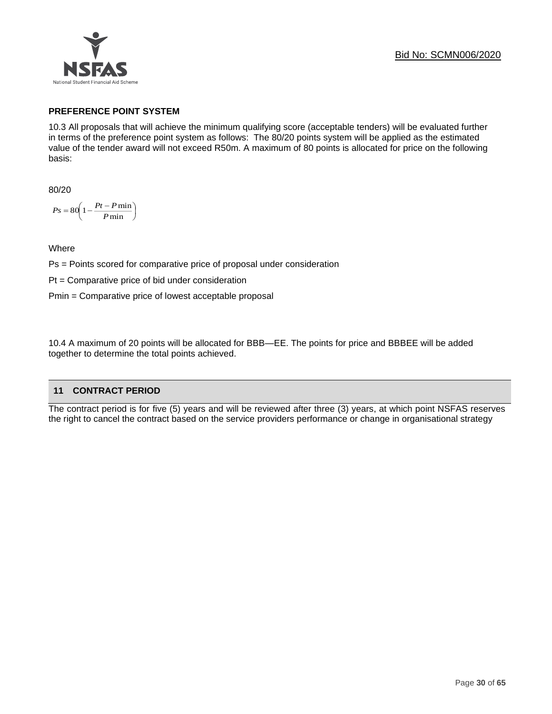

# **PREFERENCE POINT SYSTEM**

10.3 All proposals that will achieve the minimum qualifying score (acceptable tenders) will be evaluated further in terms of the preference point system as follows: The 80/20 points system will be applied as the estimated value of the tender award will not exceed R50m. A maximum of 80 points is allocated for price on the following basis:

80/20

$$
Ps = 80 \left( 1 - \frac{Pt - P \min}{P \min} \right)
$$

**Where** 

Ps = Points scored for comparative price of proposal under consideration

Pt = Comparative price of bid under consideration

Pmin = Comparative price of lowest acceptable proposal

10.4 A maximum of 20 points will be allocated for BBB—EE. The points for price and BBBEE will be added together to determine the total points achieved.

# **11 CONTRACT PERIOD**

The contract period is for five (5) years and will be reviewed after three (3) years, at which point NSFAS reserves the right to cancel the contract based on the service providers performance or change in organisational strategy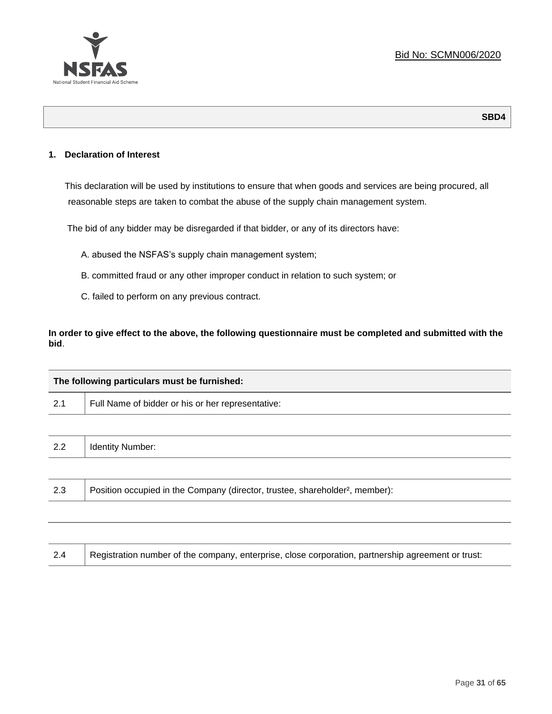

#### **1. Declaration of Interest**

This declaration will be used by institutions to ensure that when goods and services are being procured, all reasonable steps are taken to combat the abuse of the supply chain management system.

The bid of any bidder may be disregarded if that bidder, or any of its directors have:

- A. abused the NSFAS's supply chain management system;
- B. committed fraud or any other improper conduct in relation to such system; or
- C. failed to perform on any previous contract.

**In order to give effect to the above, the following questionnaire must be completed and submitted with the bid**.

|     | The following particulars must be furnished:                                             |  |  |
|-----|------------------------------------------------------------------------------------------|--|--|
| 2.1 | Full Name of bidder or his or her representative:                                        |  |  |
|     |                                                                                          |  |  |
| 2.2 | <b>Identity Number:</b>                                                                  |  |  |
|     |                                                                                          |  |  |
| 2.3 | Position occupied in the Company (director, trustee, shareholder <sup>2</sup> , member): |  |  |
|     |                                                                                          |  |  |

| Registration number of the company, enterprise, close corporation, partnership agreement or trust:<br>2.4 |
|-----------------------------------------------------------------------------------------------------------|
|-----------------------------------------------------------------------------------------------------------|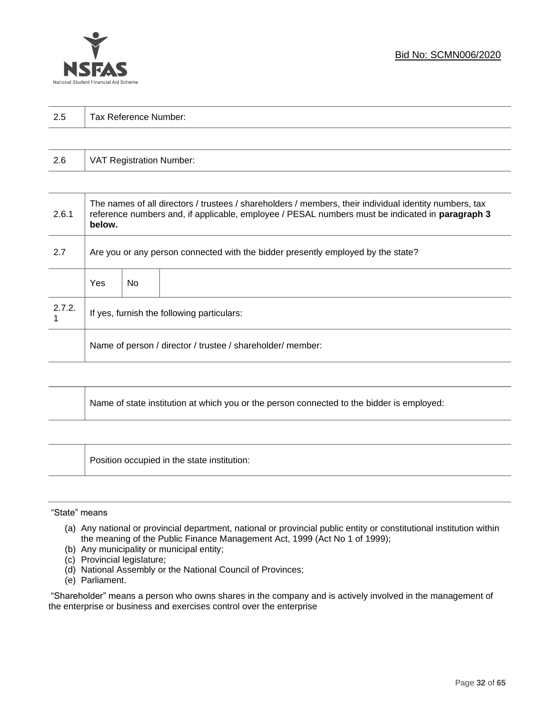

| っょ<br>ن ک | $\overline{\phantom{0}}$<br>-<br>Tax Reference<br>Number: |
|-----------|-----------------------------------------------------------|
|           |                                                           |

| 2.6 | VAT Registration Number: |
|-----|--------------------------|
|-----|--------------------------|

| 2.6.1  | The names of all directors / trustees / shareholders / members, their individual identity numbers, tax<br>reference numbers and, if applicable, employee / PESAL numbers must be indicated in paragraph 3<br>below. |     |                                            |
|--------|---------------------------------------------------------------------------------------------------------------------------------------------------------------------------------------------------------------------|-----|--------------------------------------------|
| 2.7    | Are you or any person connected with the bidder presently employed by the state?                                                                                                                                    |     |                                            |
|        | Yes                                                                                                                                                                                                                 | No. |                                            |
| 2.7.2. |                                                                                                                                                                                                                     |     | If yes, furnish the following particulars: |
|        | Name of person / director / trustee / shareholder/ member:                                                                                                                                                          |     |                                            |

| Name of state institution at which you or the person connected to the bidder is employed: |
|-------------------------------------------------------------------------------------------|
|                                                                                           |

Position occupied in the state institution:

#### "State" means

┱

- (a) Any national or provincial department, national or provincial public entity or constitutional institution within the meaning of the Public Finance Management Act, 1999 (Act No 1 of 1999);
- (b) Any municipality or municipal entity;
- (c) Provincial legislature;
- (d) National Assembly or the National Council of Provinces;
- (e) Parliament.

"Shareholder" means a person who owns shares in the company and is actively involved in the management of the enterprise or business and exercises control over the enterprise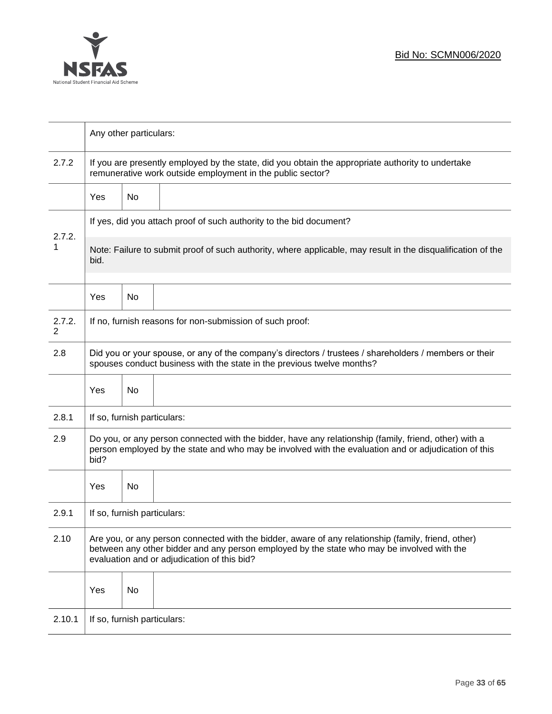

|             | Any other particulars:                                                                                                                                                                                                                           |    |  |  |
|-------------|--------------------------------------------------------------------------------------------------------------------------------------------------------------------------------------------------------------------------------------------------|----|--|--|
| 2.7.2       | If you are presently employed by the state, did you obtain the appropriate authority to undertake<br>remunerative work outside employment in the public sector?                                                                                  |    |  |  |
|             | <b>Yes</b>                                                                                                                                                                                                                                       | No |  |  |
|             | If yes, did you attach proof of such authority to the bid document?                                                                                                                                                                              |    |  |  |
| 2.7.2.<br>1 | Note: Failure to submit proof of such authority, where applicable, may result in the disqualification of the<br>bid.                                                                                                                             |    |  |  |
|             | Yes                                                                                                                                                                                                                                              | No |  |  |
| 2.7.2.<br>2 | If no, furnish reasons for non-submission of such proof:                                                                                                                                                                                         |    |  |  |
| 2.8         | Did you or your spouse, or any of the company's directors / trustees / shareholders / members or their<br>spouses conduct business with the state in the previous twelve months?                                                                 |    |  |  |
|             | Yes                                                                                                                                                                                                                                              | No |  |  |
| 2.8.1       | If so, furnish particulars:                                                                                                                                                                                                                      |    |  |  |
| 2.9         | Do you, or any person connected with the bidder, have any relationship (family, friend, other) with a<br>person employed by the state and who may be involved with the evaluation and or adjudication of this<br>bid?                            |    |  |  |
|             | Yes                                                                                                                                                                                                                                              | No |  |  |
| 2.9.1       | If so, furnish particulars:                                                                                                                                                                                                                      |    |  |  |
| 2.10        | Are you, or any person connected with the bidder, aware of any relationship (family, friend, other)<br>between any other bidder and any person employed by the state who may be involved with the<br>evaluation and or adjudication of this bid? |    |  |  |
|             | Yes                                                                                                                                                                                                                                              | No |  |  |
| 2.10.1      | If so, furnish particulars:                                                                                                                                                                                                                      |    |  |  |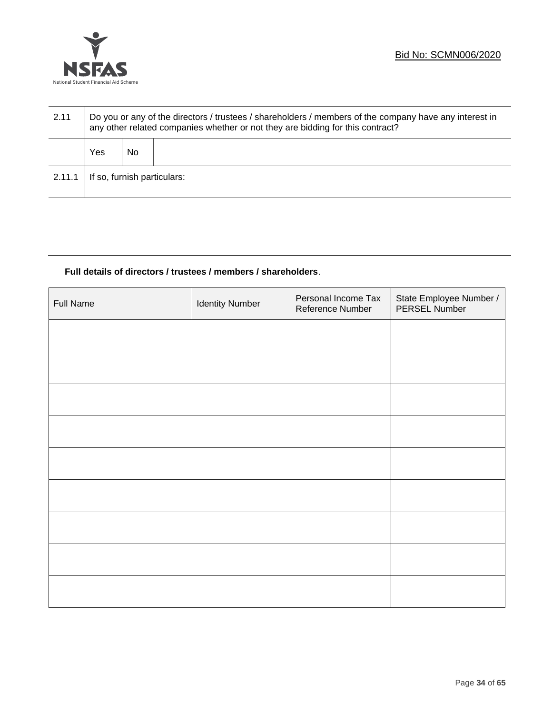

| 2.11   | Do you or any of the directors / trustees / shareholders / members of the company have any interest in<br>any other related companies whether or not they are bidding for this contract? |    |  |
|--------|------------------------------------------------------------------------------------------------------------------------------------------------------------------------------------------|----|--|
|        | Yes                                                                                                                                                                                      | No |  |
| 2.11.1 | If so, furnish particulars:                                                                                                                                                              |    |  |

# **Full details of directors / trustees / members / shareholders**.

| <b>Full Name</b> | <b>Identity Number</b> | Personal Income Tax<br>Reference Number | State Employee Number /<br>PERSEL Number |
|------------------|------------------------|-----------------------------------------|------------------------------------------|
|                  |                        |                                         |                                          |
|                  |                        |                                         |                                          |
|                  |                        |                                         |                                          |
|                  |                        |                                         |                                          |
|                  |                        |                                         |                                          |
|                  |                        |                                         |                                          |
|                  |                        |                                         |                                          |
|                  |                        |                                         |                                          |
|                  |                        |                                         |                                          |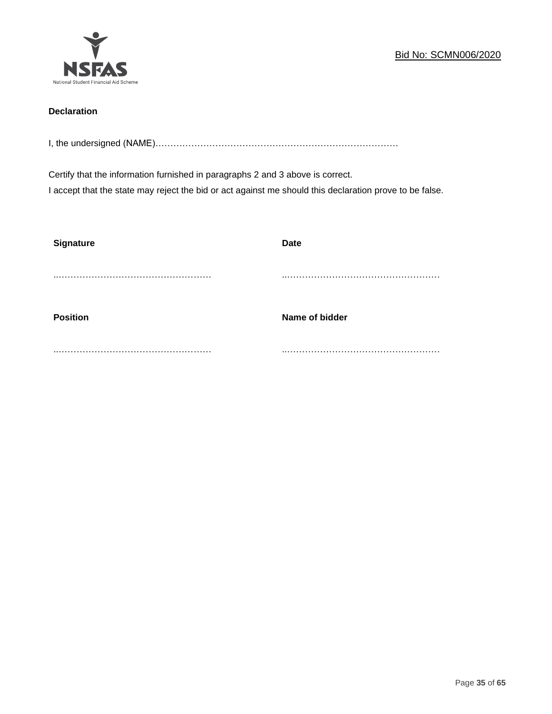

# **Declaration**

I, the undersigned (NAME)………………………………………………………………………

Certify that the information furnished in paragraphs 2 and 3 above is correct. I accept that the state may reject the bid or act against me should this declaration prove to be false.

| <b>Signature</b> | <b>Date</b>    |
|------------------|----------------|
|                  |                |
| <b>Position</b>  | Name of bidder |
|                  |                |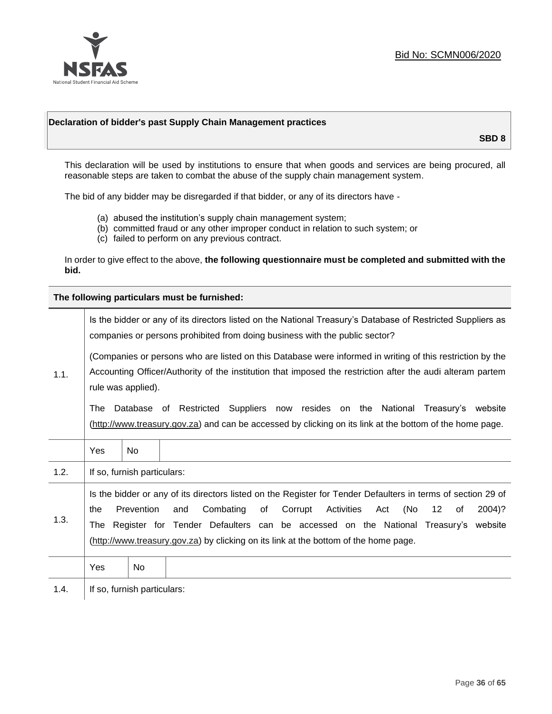

#### **Declaration of bidder's past Supply Chain Management practices**

**SBD 8**

This declaration will be used by institutions to ensure that when goods and services are being procured, all reasonable steps are taken to combat the abuse of the supply chain management system.

The bid of any bidder may be disregarded if that bidder, or any of its directors have -

- (a) abused the institution's supply chain management system;
- (b) committed fraud or any other improper conduct in relation to such system; or
- (c) failed to perform on any previous contract.

In order to give effect to the above, **the following questionnaire must be completed and submitted with the bid.**

**The following particulars must be furnished:**

|      | Is the bidder or any of its directors listed on the National Treasury's Database of Restricted Suppliers as<br>companies or persons prohibited from doing business with the public sector?                                                                                                                                                                                                                |                             |                                                                                                                                                                                             |  |
|------|-----------------------------------------------------------------------------------------------------------------------------------------------------------------------------------------------------------------------------------------------------------------------------------------------------------------------------------------------------------------------------------------------------------|-----------------------------|---------------------------------------------------------------------------------------------------------------------------------------------------------------------------------------------|--|
| 1.1. | (Companies or persons who are listed on this Database were informed in writing of this restriction by the<br>Accounting Officer/Authority of the institution that imposed the restriction after the audi alteram partem<br>rule was applied).                                                                                                                                                             |                             |                                                                                                                                                                                             |  |
|      | The                                                                                                                                                                                                                                                                                                                                                                                                       |                             | Database of Restricted Suppliers now resides on the National Treasury's website<br>(http://www.treasury.gov.za) and can be accessed by clicking on its link at the bottom of the home page. |  |
|      | Yes                                                                                                                                                                                                                                                                                                                                                                                                       | <b>No</b>                   |                                                                                                                                                                                             |  |
| 1.2. |                                                                                                                                                                                                                                                                                                                                                                                                           | If so, furnish particulars: |                                                                                                                                                                                             |  |
| 1.3. | Is the bidder or any of its directors listed on the Register for Tender Defaulters in terms of section 29 of<br>Prevention<br>Activities<br>(No<br>Combating<br>of<br>Corrupt<br>12<br>2004)?<br>the<br>and<br>Act<br>of<br>The Register for Tender Defaulters can be accessed on the National Treasury's website<br>(http://www.treasury.gov.za) by clicking on its link at the bottom of the home page. |                             |                                                                                                                                                                                             |  |
|      | Yes                                                                                                                                                                                                                                                                                                                                                                                                       | No                          |                                                                                                                                                                                             |  |
| 1.4. |                                                                                                                                                                                                                                                                                                                                                                                                           | If so, furnish particulars: |                                                                                                                                                                                             |  |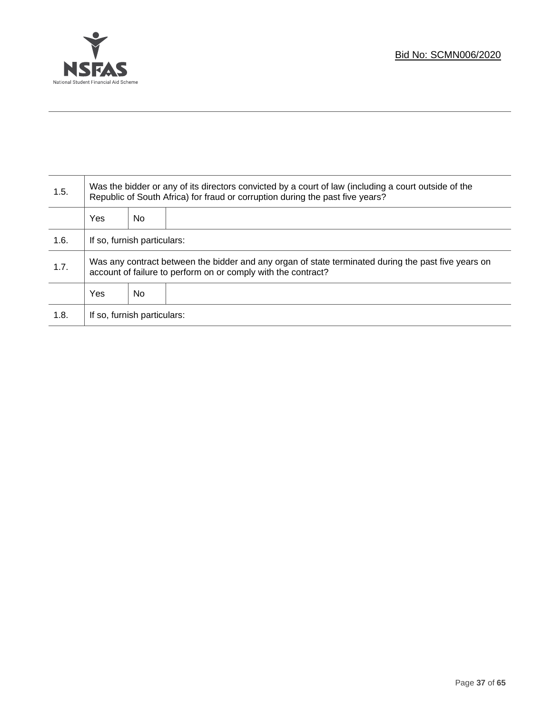

Τ

| 1.5. | Was the bidder or any of its directors convicted by a court of law (including a court outside of the<br>Republic of South Africa) for fraud or corruption during the past five years? |    |  |
|------|---------------------------------------------------------------------------------------------------------------------------------------------------------------------------------------|----|--|
|      | Yes                                                                                                                                                                                   | No |  |
| 1.6. | If so, furnish particulars:                                                                                                                                                           |    |  |
| 1.7. | Was any contract between the bidder and any organ of state terminated during the past five years on<br>account of failure to perform on or comply with the contract?                  |    |  |
|      | Yes                                                                                                                                                                                   | No |  |
| 1.8. | If so, furnish particulars:                                                                                                                                                           |    |  |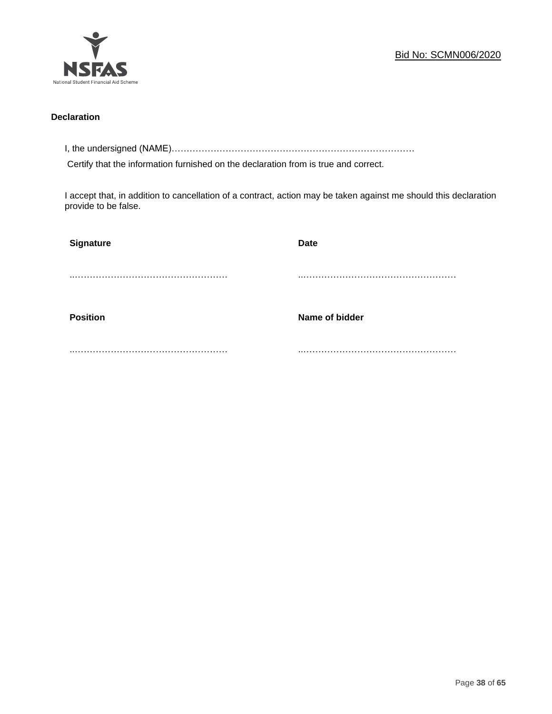

#### **Declaration**

I, the undersigned (NAME)………………………………………………………………………

Certify that the information furnished on the declaration from is true and correct.

I accept that, in addition to cancellation of a contract, action may be taken against me should this declaration provide to be false.

| Signature       | <b>Date</b>    |
|-----------------|----------------|
|                 |                |
|                 |                |
| <b>Position</b> | Name of bidder |
|                 |                |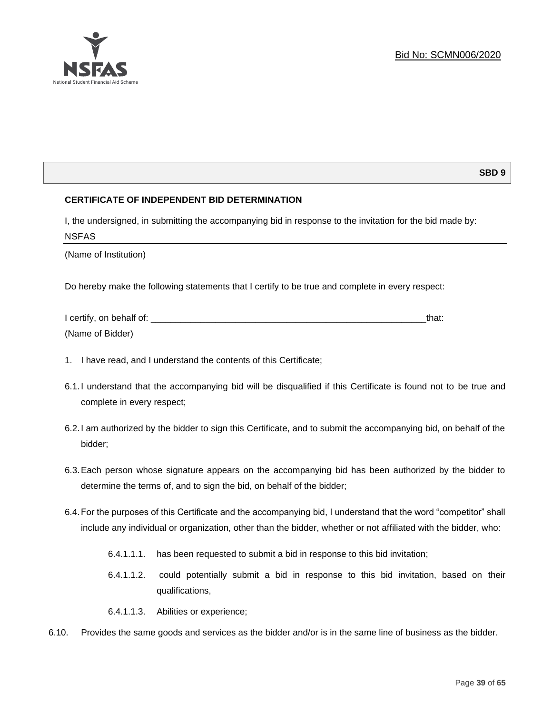

# **SBD 9**

# **CERTIFICATE OF INDEPENDENT BID DETERMINATION**

I, the undersigned, in submitting the accompanying bid in response to the invitation for the bid made by: NSFAS

(Name of Institution)

Do hereby make the following statements that I certify to be true and complete in every respect:

| I certify, on behalf of: |  |
|--------------------------|--|
| (Name of Bidder)         |  |

- 1. I have read, and I understand the contents of this Certificate;
- 6.1.I understand that the accompanying bid will be disqualified if this Certificate is found not to be true and complete in every respect;
- 6.2.I am authorized by the bidder to sign this Certificate, and to submit the accompanying bid, on behalf of the bidder;
- 6.3.Each person whose signature appears on the accompanying bid has been authorized by the bidder to determine the terms of, and to sign the bid, on behalf of the bidder;
- 6.4.For the purposes of this Certificate and the accompanying bid, I understand that the word "competitor" shall include any individual or organization, other than the bidder, whether or not affiliated with the bidder, who:
	- 6.4.1.1.1. has been requested to submit a bid in response to this bid invitation;
	- 6.4.1.1.2. could potentially submit a bid in response to this bid invitation, based on their qualifications,
	- 6.4.1.1.3. Abilities or experience;
- 6.10. Provides the same goods and services as the bidder and/or is in the same line of business as the bidder.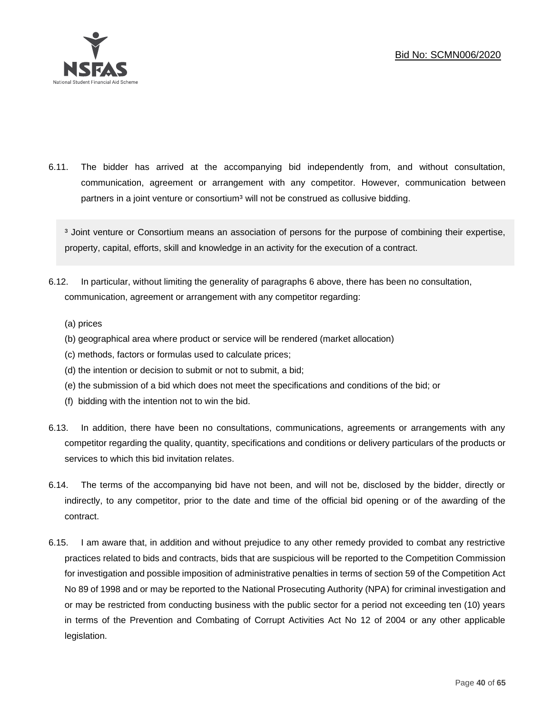

6.11. The bidder has arrived at the accompanying bid independently from, and without consultation, communication, agreement or arrangement with any competitor. However, communication between partners in a joint venture or consortium<sup>3</sup> will not be construed as collusive bidding.

<sup>3</sup> Joint venture or Consortium means an association of persons for the purpose of combining their expertise, property, capital, efforts, skill and knowledge in an activity for the execution of a contract.

- 6.12. In particular, without limiting the generality of paragraphs 6 above, there has been no consultation, communication, agreement or arrangement with any competitor regarding:
	- (a) prices
	- (b) geographical area where product or service will be rendered (market allocation)
	- (c) methods, factors or formulas used to calculate prices;
	- (d) the intention or decision to submit or not to submit, a bid;
	- (e) the submission of a bid which does not meet the specifications and conditions of the bid; or
	- (f) bidding with the intention not to win the bid.
- 6.13. In addition, there have been no consultations, communications, agreements or arrangements with any competitor regarding the quality, quantity, specifications and conditions or delivery particulars of the products or services to which this bid invitation relates.
- 6.14. The terms of the accompanying bid have not been, and will not be, disclosed by the bidder, directly or indirectly, to any competitor, prior to the date and time of the official bid opening or of the awarding of the contract.
- 6.15. I am aware that, in addition and without prejudice to any other remedy provided to combat any restrictive practices related to bids and contracts, bids that are suspicious will be reported to the Competition Commission for investigation and possible imposition of administrative penalties in terms of section 59 of the Competition Act No 89 of 1998 and or may be reported to the National Prosecuting Authority (NPA) for criminal investigation and or may be restricted from conducting business with the public sector for a period not exceeding ten (10) years in terms of the Prevention and Combating of Corrupt Activities Act No 12 of 2004 or any other applicable legislation.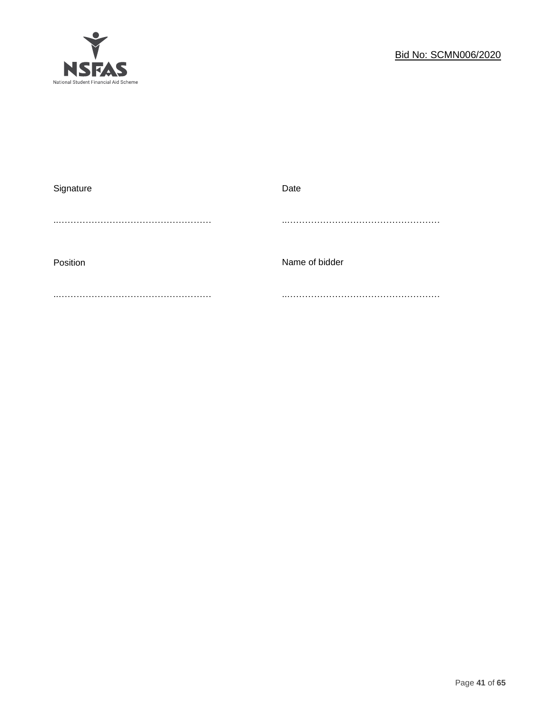

| Date           |
|----------------|
|                |
|                |
|                |
| Name of bidder |
|                |
|                |
|                |
|                |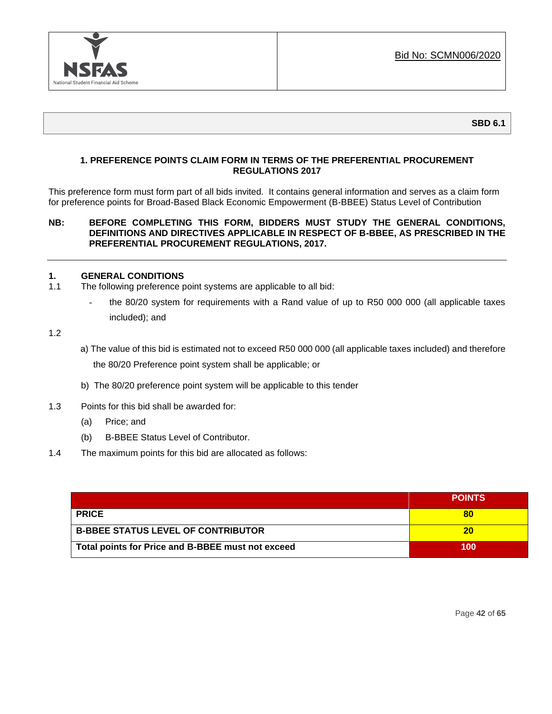

# **1. PREFERENCE POINTS CLAIM FORM IN TERMS OF THE PREFERENTIAL PROCUREMENT REGULATIONS 2017**

This preference form must form part of all bids invited. It contains general information and serves as a claim form for preference points for Broad-Based Black Economic Empowerment (B-BBEE) Status Level of Contribution

#### **NB: BEFORE COMPLETING THIS FORM, BIDDERS MUST STUDY THE GENERAL CONDITIONS, DEFINITIONS AND DIRECTIVES APPLICABLE IN RESPECT OF B-BBEE, AS PRESCRIBED IN THE PREFERENTIAL PROCUREMENT REGULATIONS, 2017.**

#### **1. GENERAL CONDITIONS**

- 1.1 The following preference point systems are applicable to all bid:
	- the 80/20 system for requirements with a Rand value of up to R50 000 000 (all applicable taxes included); and
- 1.2
- a) The value of this bid is estimated not to exceed R50 000 000 (all applicable taxes included) and therefore the 80/20 Preference point system shall be applicable; or
- b) The 80/20 preference point system will be applicable to this tender
- 1.3 Points for this bid shall be awarded for:
	- (a) Price; and
	- (b) B-BBEE Status Level of Contributor.
- 1.4 The maximum points for this bid are allocated as follows:

|                                                   | <b>POINTS</b> |
|---------------------------------------------------|---------------|
| <b>PRICE</b>                                      | 80            |
| <b>B-BBEE STATUS LEVEL OF CONTRIBUTOR</b>         | 20            |
| Total points for Price and B-BBEE must not exceed | 100           |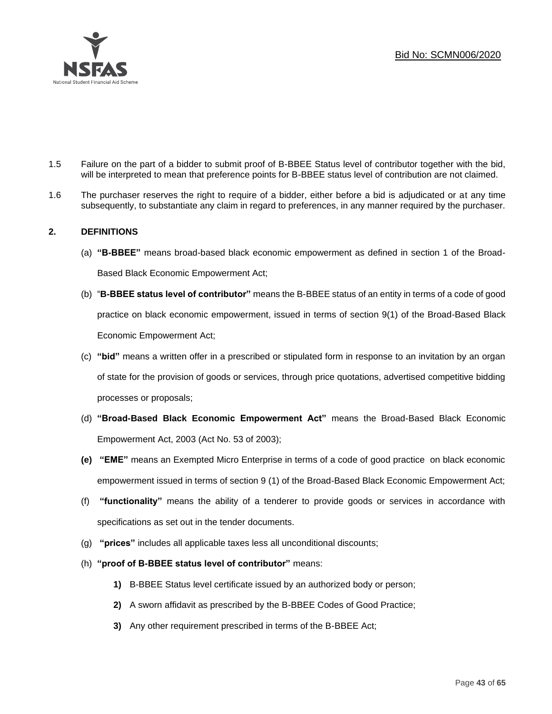

- 1.5 Failure on the part of a bidder to submit proof of B-BBEE Status level of contributor together with the bid, will be interpreted to mean that preference points for B-BBEE status level of contribution are not claimed.
- 1.6 The purchaser reserves the right to require of a bidder, either before a bid is adjudicated or at any time subsequently, to substantiate any claim in regard to preferences, in any manner required by the purchaser.

# **2. DEFINITIONS**

- (a) **"B-BBEE"** means broad-based black economic empowerment as defined in section 1 of the Broad-Based Black Economic Empowerment Act;
- (b) "**B-BBEE status level of contributor"** means the B-BBEE status of an entity in terms of a code of good practice on black economic empowerment, issued in terms of section 9(1) of the Broad-Based Black Economic Empowerment Act;
- (c) **"bid"** means a written offer in a prescribed or stipulated form in response to an invitation by an organ of state for the provision of goods or services, through price quotations, advertised competitive bidding processes or proposals;
- (d) **"Broad-Based Black Economic Empowerment Act"** means the Broad-Based Black Economic Empowerment Act, 2003 (Act No. 53 of 2003);
- **(e) "EME"** means an Exempted Micro Enterprise in terms of a code of good practice on black economic empowerment issued in terms of section 9 (1) of the Broad-Based Black Economic Empowerment Act;
- (f) **"functionality"** means the ability of a tenderer to provide goods or services in accordance with specifications as set out in the tender documents.
- (g) **"prices"** includes all applicable taxes less all unconditional discounts;
- (h) **"proof of B-BBEE status level of contributor"** means:
	- **1)** B-BBEE Status level certificate issued by an authorized body or person;
	- **2)** A sworn affidavit as prescribed by the B-BBEE Codes of Good Practice;
	- **3)** Any other requirement prescribed in terms of the B-BBEE Act;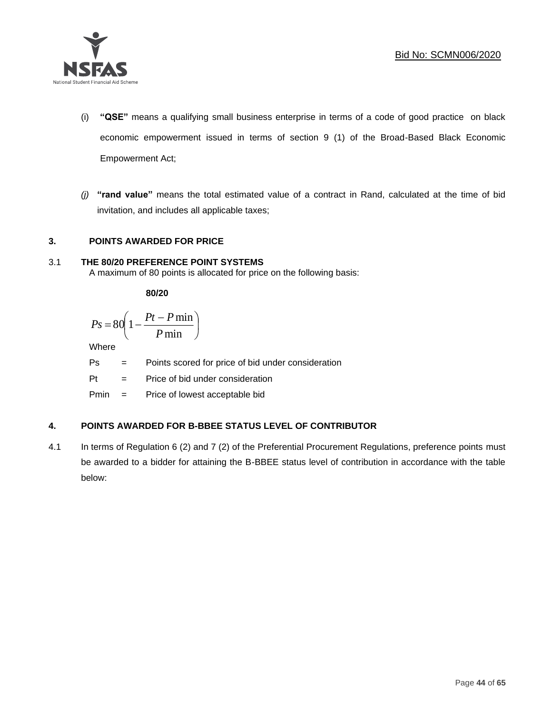

- (i) **"QSE"** means a qualifying small business enterprise in terms of a code of good practice on black economic empowerment issued in terms of section 9 (1) of the Broad-Based Black Economic Empowerment Act;
- *(j)* **"rand value"** means the total estimated value of a contract in Rand, calculated at the time of bid invitation, and includes all applicable taxes;

# **3. POINTS AWARDED FOR PRICE**

# 3.1 **THE 80/20 PREFERENCE POINT SYSTEMS**

A maximum of 80 points is allocated for price on the following basis:

**80/20**

$$
Ps = 80 \left( 1 - \frac{Pt - P \min}{P \min} \right)
$$

Where

- Ps = Points scored for price of bid under consideration
- Pt = Price of bid under consideration

Pmin = Price of lowest acceptable bid

# **4. POINTS AWARDED FOR B-BBEE STATUS LEVEL OF CONTRIBUTOR**

4.1 In terms of Regulation 6 (2) and 7 (2) of the Preferential Procurement Regulations, preference points must be awarded to a bidder for attaining the B-BBEE status level of contribution in accordance with the table below: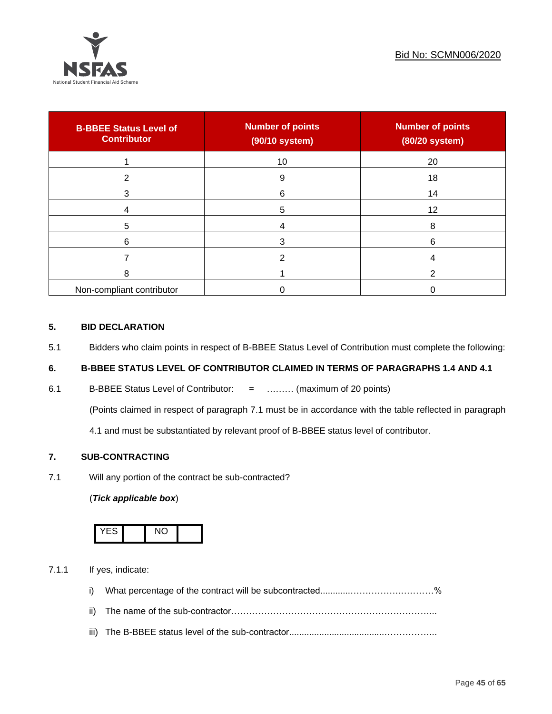

| <b>B-BBEE Status Level of</b><br><b>Contributor</b> | <b>Number of points</b><br>(90/10 system) | <b>Number of points</b><br>(80/20 system) |
|-----------------------------------------------------|-------------------------------------------|-------------------------------------------|
|                                                     | 10                                        | 20                                        |
| 2                                                   | 9                                         | 18                                        |
| 3                                                   | 6                                         | 14                                        |
|                                                     | 5                                         | 12                                        |
| 5                                                   |                                           | 8                                         |
| 6                                                   |                                           | 6                                         |
|                                                     |                                           |                                           |
| 8                                                   |                                           |                                           |
| Non-compliant contributor                           |                                           |                                           |

# **5. BID DECLARATION**

5.1 Bidders who claim points in respect of B-BBEE Status Level of Contribution must complete the following:

# **6. B-BBEE STATUS LEVEL OF CONTRIBUTOR CLAIMED IN TERMS OF PARAGRAPHS 1.4 AND 4.1**

6.1 B-BBEE Status Level of Contributor: = ……… (maximum of 20 points)

(Points claimed in respect of paragraph 7.1 must be in accordance with the table reflected in paragraph

4.1 and must be substantiated by relevant proof of B-BBEE status level of contributor.

# **7. SUB-CONTRACTING**

7.1 Will any portion of the contract be sub-contracted?

# (*Tick applicable box*)



7.1.1 If yes, indicate:

- i) What percentage of the contract will be subcontracted............…………….…………%
- ii) The name of the sub-contractor…………………………………………………………...
- iii) The B-BBEE status level of the sub-contractor......................................……………...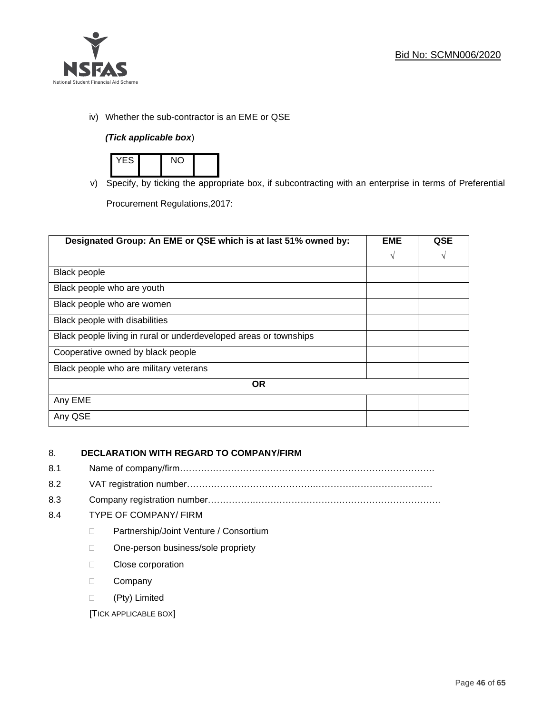

iv) Whether the sub-contractor is an EME or QSE

# *(Tick applicable box*)



v) Specify, by ticking the appropriate box, if subcontracting with an enterprise in terms of Preferential

Procurement Regulations,2017:

| Designated Group: An EME or QSE which is at last 51% owned by:    | <b>EME</b> | QSE |
|-------------------------------------------------------------------|------------|-----|
|                                                                   | $\sqrt{ }$ | V   |
| Black people                                                      |            |     |
| Black people who are youth                                        |            |     |
| Black people who are women                                        |            |     |
| Black people with disabilities                                    |            |     |
| Black people living in rural or underdeveloped areas or townships |            |     |
| Cooperative owned by black people                                 |            |     |
| Black people who are military veterans                            |            |     |
| <b>OR</b>                                                         |            |     |
| Any EME                                                           |            |     |
| Any QSE                                                           |            |     |

# 8. **DECLARATION WITH REGARD TO COMPANY/FIRM**

- 8.1 Name of company/firm………………………………………………………………………….
- 8.2 VAT registration number…………………………………….…………………………………
- 8.3 Company registration number…………….……………………….…………………………….

# 8.4 TYPE OF COMPANY/ FIRM

- D Partnership/Joint Venture / Consortium
- □ One-person business/sole propriety
- **Close corporation**
- D Company
- (Pty) Limited

[TICK APPLICABLE BOX]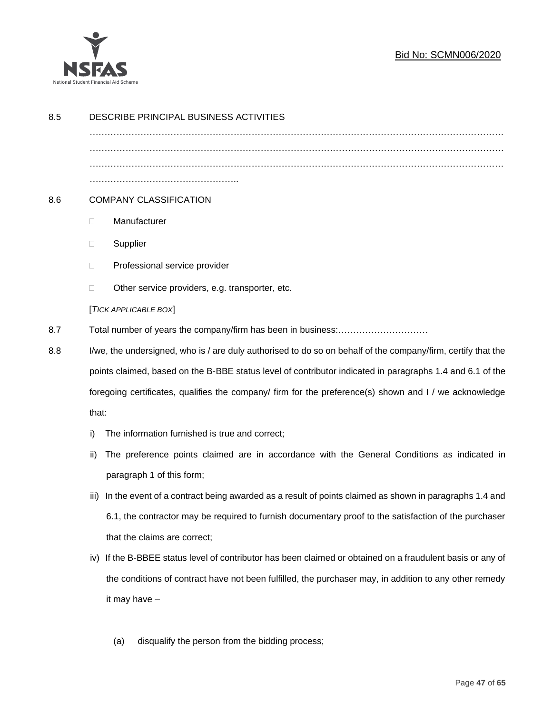

# Bid No: SCMN006/2020

| 8.5 | DESCRIBE PRINCIPAL BUSINESS ACTIVITIES                                                                        |  |  |  |  |  |
|-----|---------------------------------------------------------------------------------------------------------------|--|--|--|--|--|
|     |                                                                                                               |  |  |  |  |  |
|     |                                                                                                               |  |  |  |  |  |
|     |                                                                                                               |  |  |  |  |  |
| 8.6 | <b>COMPANY CLASSIFICATION</b>                                                                                 |  |  |  |  |  |
|     | Manufacturer<br>$\Box$                                                                                        |  |  |  |  |  |
|     | Supplier<br>$\Box$                                                                                            |  |  |  |  |  |
|     | Professional service provider<br>$\Box$                                                                       |  |  |  |  |  |
|     | Other service providers, e.g. transporter, etc.<br>$\Box$                                                     |  |  |  |  |  |
|     | [TICK APPLICABLE BOX]                                                                                         |  |  |  |  |  |
| 8.7 | Total number of years the company/firm has been in business:                                                  |  |  |  |  |  |
| 8.8 | I/we, the undersigned, who is / are duly authorised to do so on behalf of the company/firm, certify that the  |  |  |  |  |  |
|     | points claimed, based on the B-BBE status level of contributor indicated in paragraphs 1.4 and 6.1 of the     |  |  |  |  |  |
|     | foregoing certificates, qualifies the company/ firm for the preference(s) shown and I / we acknowledge        |  |  |  |  |  |
|     | that:                                                                                                         |  |  |  |  |  |
|     | The information furnished is true and correct;<br>i)                                                          |  |  |  |  |  |
|     | The preference points claimed are in accordance with the General Conditions as indicated in<br>ii)            |  |  |  |  |  |
|     | paragraph 1 of this form;                                                                                     |  |  |  |  |  |
|     | In the event of a contract being awarded as a result of points claimed as shown in paragraphs 1.4 and<br>iii) |  |  |  |  |  |
|     | 6.1, the contractor may be required to furnish documentary proof to the satisfaction of the purchaser         |  |  |  |  |  |
|     | that the claims are correct;                                                                                  |  |  |  |  |  |
|     | If the B-BBEE status level of contributor has been claimed or obtained on a fraudulent basis or any of<br>iv) |  |  |  |  |  |
|     | the conditions of contract have not been fulfilled, the purchaser may, in addition to any other remedy        |  |  |  |  |  |
|     | it may have -                                                                                                 |  |  |  |  |  |
|     |                                                                                                               |  |  |  |  |  |
|     | disqualify the person from the bidding process;<br>(a)                                                        |  |  |  |  |  |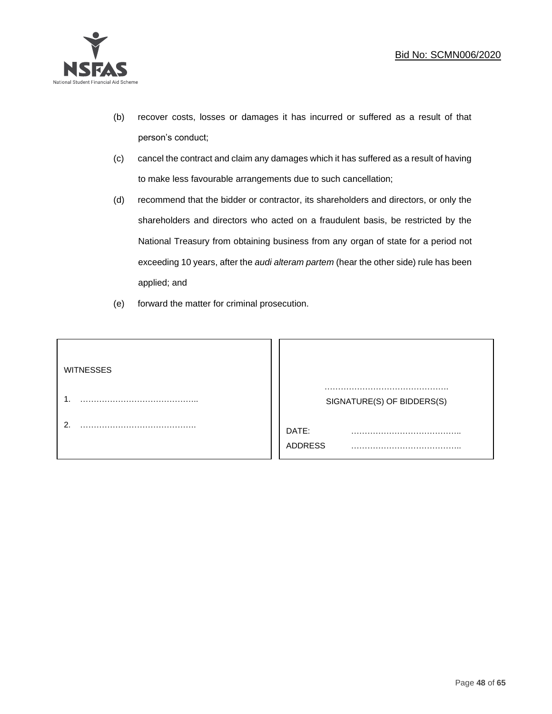

- (b) recover costs, losses or damages it has incurred or suffered as a result of that person's conduct;
- (c) cancel the contract and claim any damages which it has suffered as a result of having to make less favourable arrangements due to such cancellation;
- (d) recommend that the bidder or contractor, its shareholders and directors, or only the shareholders and directors who acted on a fraudulent basis, be restricted by the National Treasury from obtaining business from any organ of state for a period not exceeding 10 years, after the *audi alteram partem* (hear the other side) rule has been applied; and
- (e) forward the matter for criminal prosecution.

| <b>WITNESSES</b> |                            |
|------------------|----------------------------|
|                  | SIGNATURE(S) OF BIDDERS(S) |
|                  | DATE:<br>.<br>.<br>ADDRESS |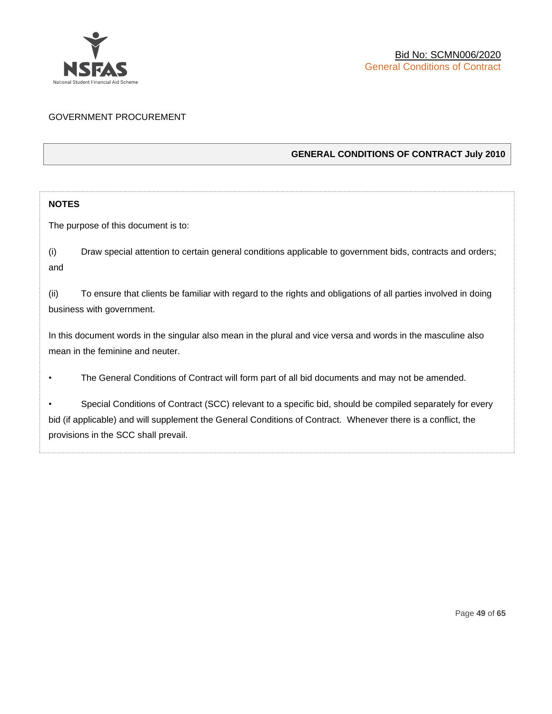

# GOVERNMENT PROCUREMENT

# **GENERAL CONDITIONS OF CONTRACT July 2010**

# **NOTES**

The purpose of this document is to:

(i) Draw special attention to certain general conditions applicable to government bids, contracts and orders; and

(ii) To ensure that clients be familiar with regard to the rights and obligations of all parties involved in doing business with government.

In this document words in the singular also mean in the plural and vice versa and words in the masculine also mean in the feminine and neuter.

• The General Conditions of Contract will form part of all bid documents and may not be amended.

Special Conditions of Contract (SCC) relevant to a specific bid, should be compiled separately for every bid (if applicable) and will supplement the General Conditions of Contract. Whenever there is a conflict, the provisions in the SCC shall prevail.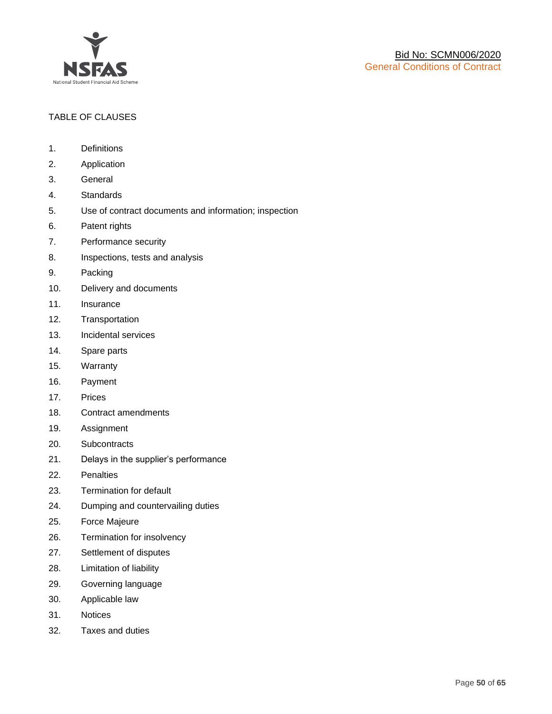

# TABLE OF CLAUSES

- 1. Definitions
- 2. Application
- 3. General
- 4. Standards
- 5. Use of contract documents and information; inspection
- 6. Patent rights
- 7. Performance security
- 8. Inspections, tests and analysis
- 9. Packing
- 10. Delivery and documents
- 11. Insurance
- 12. Transportation
- 13. Incidental services
- 14. Spare parts
- 15. Warranty
- 16. Payment
- 17. Prices
- 18. Contract amendments
- 19. Assignment
- 20. Subcontracts
- 21. Delays in the supplier's performance
- 22. Penalties
- 23. Termination for default
- 24. Dumping and countervailing duties
- 25. Force Majeure
- 26. Termination for insolvency
- 27. Settlement of disputes
- 28. Limitation of liability
- 29. Governing language
- 30. Applicable law
- 31. Notices
- 32. Taxes and duties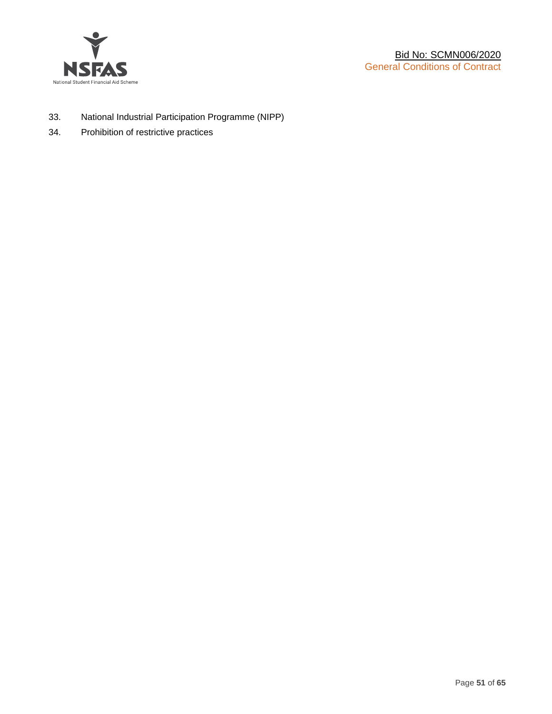

- 33. National Industrial Participation Programme (NIPP)
- 34. Prohibition of restrictive practices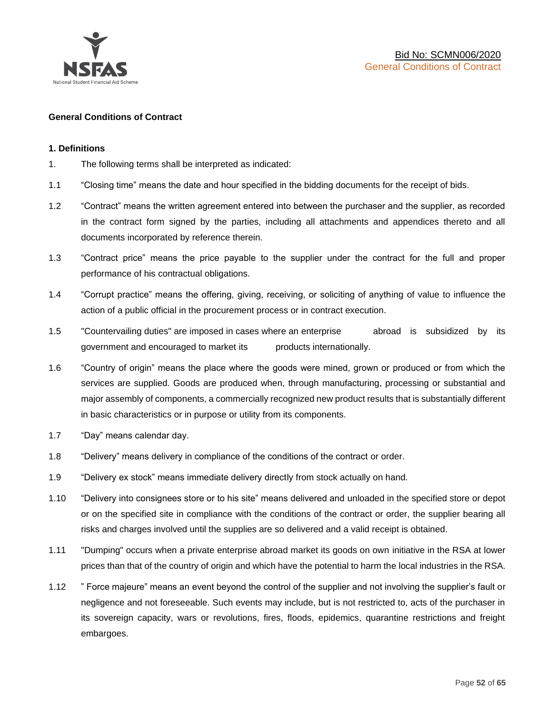

#### **General Conditions of Contract**

#### **1. Definitions**

- 1. The following terms shall be interpreted as indicated:
- 1.1 "Closing time" means the date and hour specified in the bidding documents for the receipt of bids.
- 1.2 "Contract" means the written agreement entered into between the purchaser and the supplier, as recorded in the contract form signed by the parties, including all attachments and appendices thereto and all documents incorporated by reference therein.
- 1.3 "Contract price" means the price payable to the supplier under the contract for the full and proper performance of his contractual obligations.
- 1.4 "Corrupt practice" means the offering, giving, receiving, or soliciting of anything of value to influence the action of a public official in the procurement process or in contract execution.
- 1.5 "Countervailing duties" are imposed in cases where an enterprise abroad is subsidized by its government and encouraged to market its products internationally.
- 1.6 "Country of origin" means the place where the goods were mined, grown or produced or from which the services are supplied. Goods are produced when, through manufacturing, processing or substantial and major assembly of components, a commercially recognized new product results that is substantially different in basic characteristics or in purpose or utility from its components.
- 1.7 "Day" means calendar day.
- 1.8 "Delivery" means delivery in compliance of the conditions of the contract or order.
- 1.9 "Delivery ex stock" means immediate delivery directly from stock actually on hand.
- 1.10 "Delivery into consignees store or to his site" means delivered and unloaded in the specified store or depot or on the specified site in compliance with the conditions of the contract or order, the supplier bearing all risks and charges involved until the supplies are so delivered and a valid receipt is obtained.
- 1.11 "Dumping" occurs when a private enterprise abroad market its goods on own initiative in the RSA at lower prices than that of the country of origin and which have the potential to harm the local industries in the RSA.
- 1.12 " Force majeure" means an event beyond the control of the supplier and not involving the supplier's fault or negligence and not foreseeable. Such events may include, but is not restricted to, acts of the purchaser in its sovereign capacity, wars or revolutions, fires, floods, epidemics, quarantine restrictions and freight embargoes.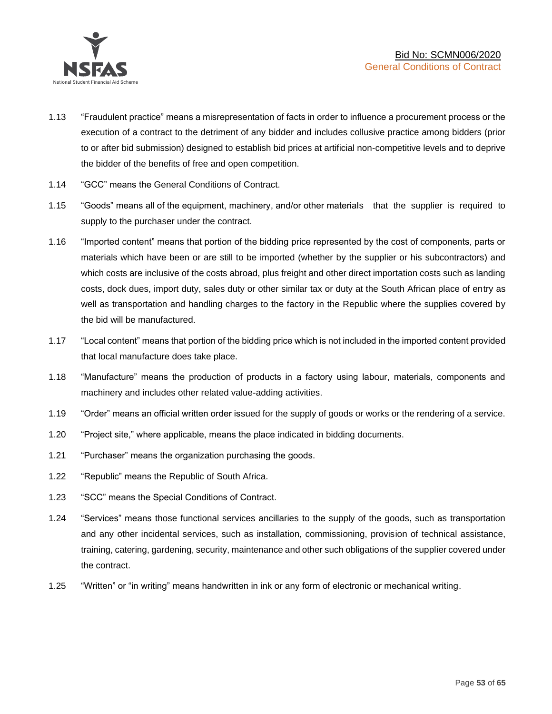

- 1.13 "Fraudulent practice" means a misrepresentation of facts in order to influence a procurement process or the execution of a contract to the detriment of any bidder and includes collusive practice among bidders (prior to or after bid submission) designed to establish bid prices at artificial non-competitive levels and to deprive the bidder of the benefits of free and open competition.
- 1.14 "GCC" means the General Conditions of Contract.
- 1.15 "Goods" means all of the equipment, machinery, and/or other materials that the supplier is required to supply to the purchaser under the contract.
- 1.16 "Imported content" means that portion of the bidding price represented by the cost of components, parts or materials which have been or are still to be imported (whether by the supplier or his subcontractors) and which costs are inclusive of the costs abroad, plus freight and other direct importation costs such as landing costs, dock dues, import duty, sales duty or other similar tax or duty at the South African place of entry as well as transportation and handling charges to the factory in the Republic where the supplies covered by the bid will be manufactured.
- 1.17 "Local content" means that portion of the bidding price which is not included in the imported content provided that local manufacture does take place.
- 1.18 "Manufacture" means the production of products in a factory using labour, materials, components and machinery and includes other related value-adding activities.
- 1.19 "Order" means an official written order issued for the supply of goods or works or the rendering of a service.
- 1.20 "Project site," where applicable, means the place indicated in bidding documents.
- 1.21 "Purchaser" means the organization purchasing the goods.
- 1.22 "Republic" means the Republic of South Africa.
- 1.23 "SCC" means the Special Conditions of Contract.
- 1.24 "Services" means those functional services ancillaries to the supply of the goods, such as transportation and any other incidental services, such as installation, commissioning, provision of technical assistance, training, catering, gardening, security, maintenance and other such obligations of the supplier covered under the contract.
- 1.25 "Written" or "in writing" means handwritten in ink or any form of electronic or mechanical writing.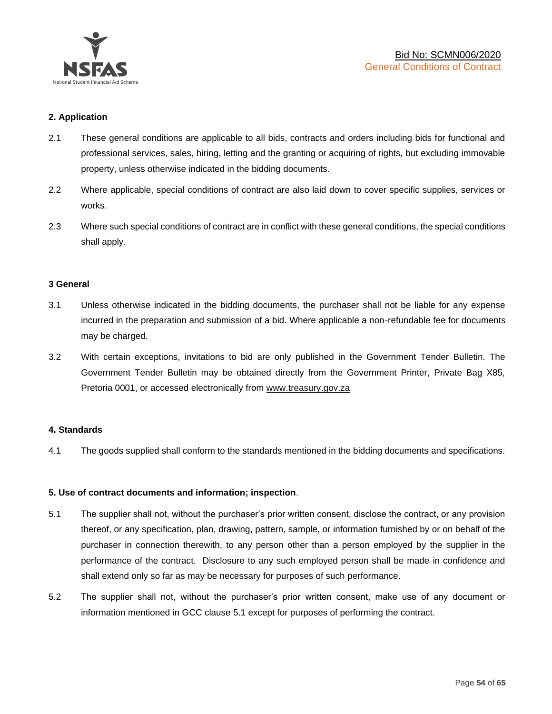

#### **2. Application**

- 2.1 These general conditions are applicable to all bids, contracts and orders including bids for functional and professional services, sales, hiring, letting and the granting or acquiring of rights, but excluding immovable property, unless otherwise indicated in the bidding documents.
- 2.2 Where applicable, special conditions of contract are also laid down to cover specific supplies, services or works.
- 2.3 Where such special conditions of contract are in conflict with these general conditions, the special conditions shall apply.

#### **3 General**

- 3.1 Unless otherwise indicated in the bidding documents, the purchaser shall not be liable for any expense incurred in the preparation and submission of a bid. Where applicable a non-refundable fee for documents may be charged.
- 3.2 With certain exceptions, invitations to bid are only published in the Government Tender Bulletin. The Government Tender Bulletin may be obtained directly from the Government Printer, Private Bag X85, Pretoria 0001, or accessed electronically from [www.treasury.gov.za](http://www.treasury.gov.za/)

#### **4. Standards**

4.1 The goods supplied shall conform to the standards mentioned in the bidding documents and specifications.

#### **5. Use of contract documents and information; inspection**.

- 5.1 The supplier shall not, without the purchaser's prior written consent, disclose the contract, or any provision thereof, or any specification, plan, drawing, pattern, sample, or information furnished by or on behalf of the purchaser in connection therewith, to any person other than a person employed by the supplier in the performance of the contract. Disclosure to any such employed person shall be made in confidence and shall extend only so far as may be necessary for purposes of such performance.
- 5.2 The supplier shall not, without the purchaser's prior written consent, make use of any document or information mentioned in GCC clause 5.1 except for purposes of performing the contract.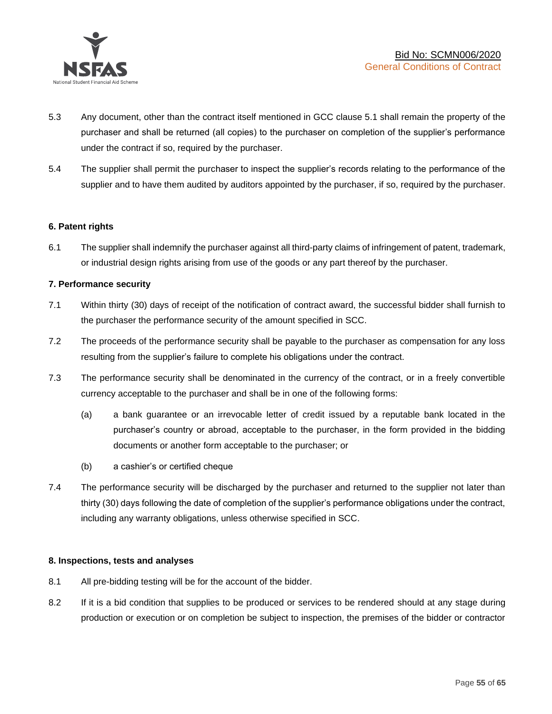

- 5.3 Any document, other than the contract itself mentioned in GCC clause 5.1 shall remain the property of the purchaser and shall be returned (all copies) to the purchaser on completion of the supplier's performance under the contract if so, required by the purchaser.
- 5.4 The supplier shall permit the purchaser to inspect the supplier's records relating to the performance of the supplier and to have them audited by auditors appointed by the purchaser, if so, required by the purchaser.

#### **6. Patent rights**

6.1 The supplier shall indemnify the purchaser against all third-party claims of infringement of patent, trademark, or industrial design rights arising from use of the goods or any part thereof by the purchaser.

#### **7. Performance security**

- 7.1 Within thirty (30) days of receipt of the notification of contract award, the successful bidder shall furnish to the purchaser the performance security of the amount specified in SCC.
- 7.2 The proceeds of the performance security shall be payable to the purchaser as compensation for any loss resulting from the supplier's failure to complete his obligations under the contract.
- 7.3 The performance security shall be denominated in the currency of the contract, or in a freely convertible currency acceptable to the purchaser and shall be in one of the following forms:
	- (a) a bank guarantee or an irrevocable letter of credit issued by a reputable bank located in the purchaser's country or abroad, acceptable to the purchaser, in the form provided in the bidding documents or another form acceptable to the purchaser; or
	- (b) a cashier's or certified cheque
- 7.4 The performance security will be discharged by the purchaser and returned to the supplier not later than thirty (30) days following the date of completion of the supplier's performance obligations under the contract, including any warranty obligations, unless otherwise specified in SCC.

#### **8. Inspections, tests and analyses**

- 8.1 All pre-bidding testing will be for the account of the bidder.
- 8.2 If it is a bid condition that supplies to be produced or services to be rendered should at any stage during production or execution or on completion be subject to inspection, the premises of the bidder or contractor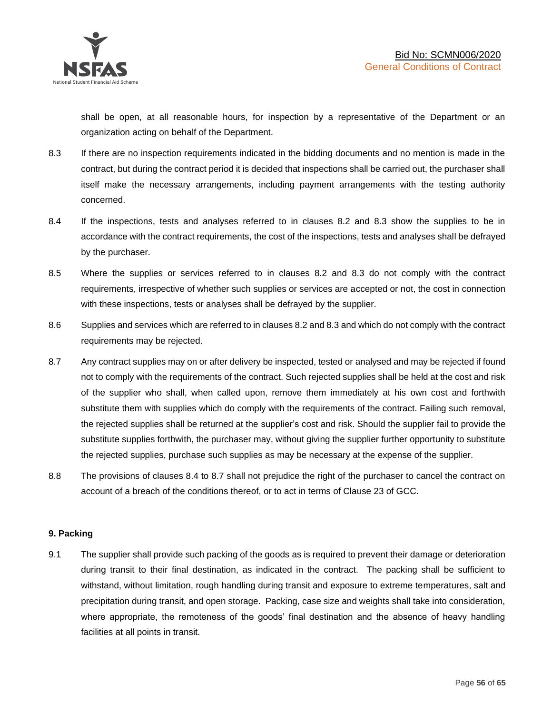shall be open, at all reasonable hours, for inspection by a representative of the Department or an organization acting on behalf of the Department.

- 8.3 If there are no inspection requirements indicated in the bidding documents and no mention is made in the contract, but during the contract period it is decided that inspections shall be carried out, the purchaser shall itself make the necessary arrangements, including payment arrangements with the testing authority concerned.
- 8.4 If the inspections, tests and analyses referred to in clauses 8.2 and 8.3 show the supplies to be in accordance with the contract requirements, the cost of the inspections, tests and analyses shall be defrayed by the purchaser.
- 8.5 Where the supplies or services referred to in clauses 8.2 and 8.3 do not comply with the contract requirements, irrespective of whether such supplies or services are accepted or not, the cost in connection with these inspections, tests or analyses shall be defrayed by the supplier.
- 8.6 Supplies and services which are referred to in clauses 8.2 and 8.3 and which do not comply with the contract requirements may be rejected.
- 8.7 Any contract supplies may on or after delivery be inspected, tested or analysed and may be rejected if found not to comply with the requirements of the contract. Such rejected supplies shall be held at the cost and risk of the supplier who shall, when called upon, remove them immediately at his own cost and forthwith substitute them with supplies which do comply with the requirements of the contract. Failing such removal, the rejected supplies shall be returned at the supplier's cost and risk. Should the supplier fail to provide the substitute supplies forthwith, the purchaser may, without giving the supplier further opportunity to substitute the rejected supplies, purchase such supplies as may be necessary at the expense of the supplier.
- 8.8 The provisions of clauses 8.4 to 8.7 shall not prejudice the right of the purchaser to cancel the contract on account of a breach of the conditions thereof, or to act in terms of Clause 23 of GCC.

# **9. Packing**

9.1 The supplier shall provide such packing of the goods as is required to prevent their damage or deterioration during transit to their final destination, as indicated in the contract. The packing shall be sufficient to withstand, without limitation, rough handling during transit and exposure to extreme temperatures, salt and precipitation during transit, and open storage. Packing, case size and weights shall take into consideration, where appropriate, the remoteness of the goods' final destination and the absence of heavy handling facilities at all points in transit.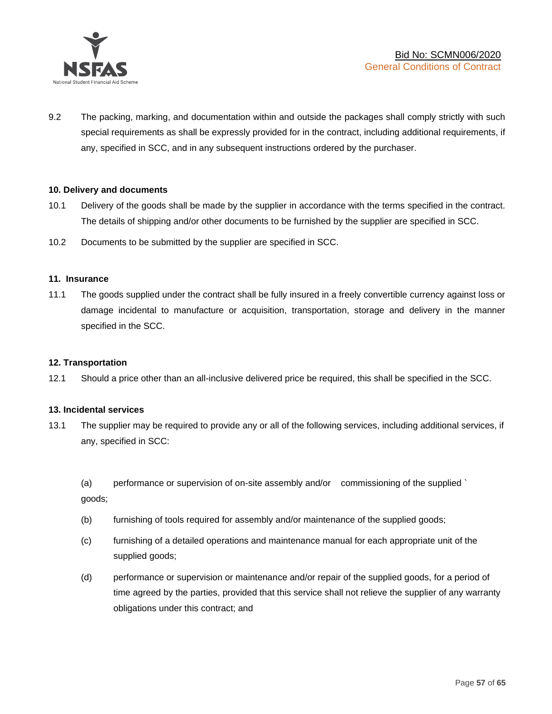

9.2 The packing, marking, and documentation within and outside the packages shall comply strictly with such special requirements as shall be expressly provided for in the contract, including additional requirements, if any, specified in SCC, and in any subsequent instructions ordered by the purchaser.

#### **10. Delivery and documents**

- 10.1 Delivery of the goods shall be made by the supplier in accordance with the terms specified in the contract. The details of shipping and/or other documents to be furnished by the supplier are specified in SCC.
- 10.2 Documents to be submitted by the supplier are specified in SCC.

#### **11. Insurance**

11.1 The goods supplied under the contract shall be fully insured in a freely convertible currency against loss or damage incidental to manufacture or acquisition, transportation, storage and delivery in the manner specified in the SCC.

#### **12. Transportation**

12.1 Should a price other than an all-inclusive delivered price be required, this shall be specified in the SCC.

#### **13. Incidental services**

13.1 The supplier may be required to provide any or all of the following services, including additional services, if any, specified in SCC:

(a) performance or supervision of on-site assembly and/or commissioning of the supplied ` goods;

- (b) furnishing of tools required for assembly and/or maintenance of the supplied goods;
- (c) furnishing of a detailed operations and maintenance manual for each appropriate unit of the supplied goods;
- (d) performance or supervision or maintenance and/or repair of the supplied goods, for a period of time agreed by the parties, provided that this service shall not relieve the supplier of any warranty obligations under this contract; and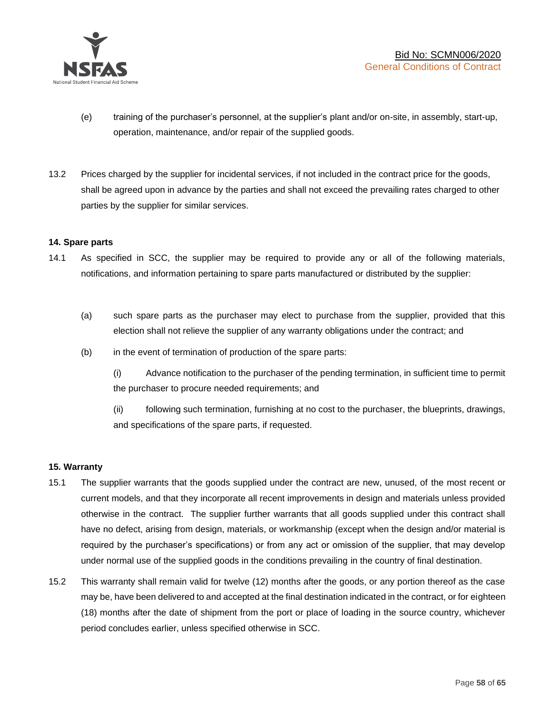

- (e) training of the purchaser's personnel, at the supplier's plant and/or on-site, in assembly, start-up, operation, maintenance, and/or repair of the supplied goods.
- 13.2 Prices charged by the supplier for incidental services, if not included in the contract price for the goods, shall be agreed upon in advance by the parties and shall not exceed the prevailing rates charged to other parties by the supplier for similar services.

#### **14. Spare parts**

- 14.1 As specified in SCC, the supplier may be required to provide any or all of the following materials, notifications, and information pertaining to spare parts manufactured or distributed by the supplier:
	- (a) such spare parts as the purchaser may elect to purchase from the supplier, provided that this election shall not relieve the supplier of any warranty obligations under the contract; and
	- (b) in the event of termination of production of the spare parts:

(i) Advance notification to the purchaser of the pending termination, in sufficient time to permit the purchaser to procure needed requirements; and

(ii) following such termination, furnishing at no cost to the purchaser, the blueprints, drawings, and specifications of the spare parts, if requested.

#### **15. Warranty**

- 15.1 The supplier warrants that the goods supplied under the contract are new, unused, of the most recent or current models, and that they incorporate all recent improvements in design and materials unless provided otherwise in the contract. The supplier further warrants that all goods supplied under this contract shall have no defect, arising from design, materials, or workmanship (except when the design and/or material is required by the purchaser's specifications) or from any act or omission of the supplier, that may develop under normal use of the supplied goods in the conditions prevailing in the country of final destination.
- 15.2 This warranty shall remain valid for twelve (12) months after the goods, or any portion thereof as the case may be, have been delivered to and accepted at the final destination indicated in the contract, or for eighteen (18) months after the date of shipment from the port or place of loading in the source country, whichever period concludes earlier, unless specified otherwise in SCC.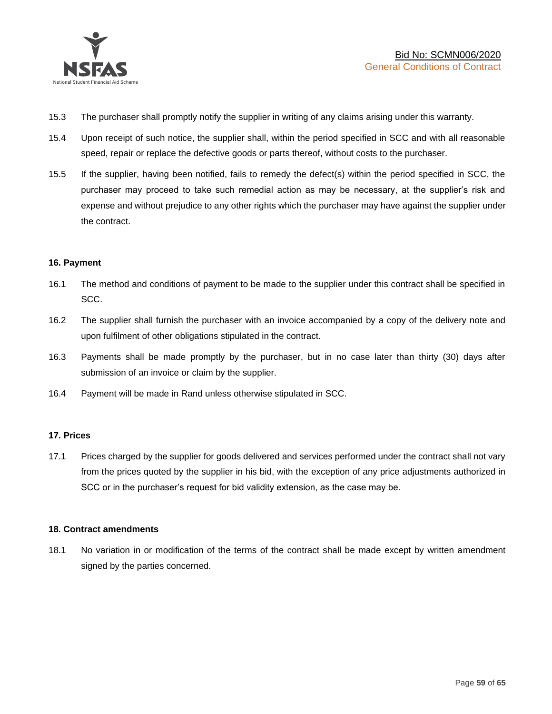

- 15.3 The purchaser shall promptly notify the supplier in writing of any claims arising under this warranty.
- 15.4 Upon receipt of such notice, the supplier shall, within the period specified in SCC and with all reasonable speed, repair or replace the defective goods or parts thereof, without costs to the purchaser.
- 15.5 If the supplier, having been notified, fails to remedy the defect(s) within the period specified in SCC, the purchaser may proceed to take such remedial action as may be necessary, at the supplier's risk and expense and without prejudice to any other rights which the purchaser may have against the supplier under the contract.

#### **16. Payment**

- 16.1 The method and conditions of payment to be made to the supplier under this contract shall be specified in SCC.
- 16.2 The supplier shall furnish the purchaser with an invoice accompanied by a copy of the delivery note and upon fulfilment of other obligations stipulated in the contract.
- 16.3 Payments shall be made promptly by the purchaser, but in no case later than thirty (30) days after submission of an invoice or claim by the supplier.
- 16.4 Payment will be made in Rand unless otherwise stipulated in SCC.

#### **17. Prices**

17.1 Prices charged by the supplier for goods delivered and services performed under the contract shall not vary from the prices quoted by the supplier in his bid, with the exception of any price adjustments authorized in SCC or in the purchaser's request for bid validity extension, as the case may be.

#### **18. Contract amendments**

18.1 No variation in or modification of the terms of the contract shall be made except by written amendment signed by the parties concerned.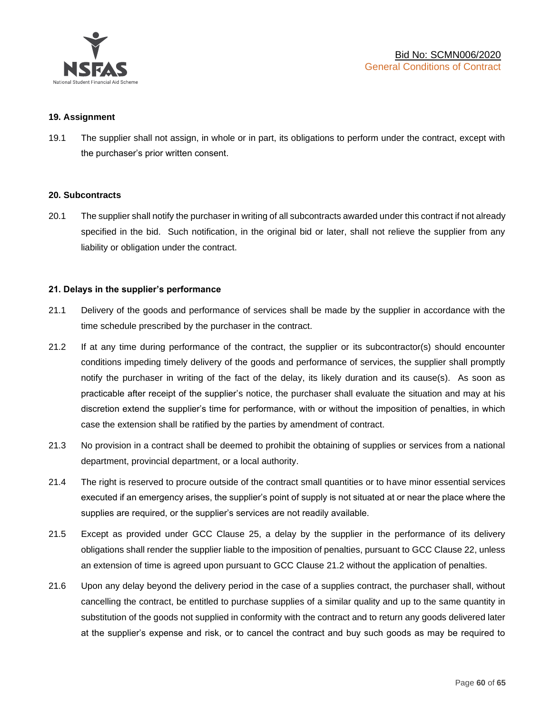

#### **19. Assignment**

19.1 The supplier shall not assign, in whole or in part, its obligations to perform under the contract, except with the purchaser's prior written consent.

#### **20. Subcontracts**

20.1 The supplier shall notify the purchaser in writing of all subcontracts awarded under this contract if not already specified in the bid. Such notification, in the original bid or later, shall not relieve the supplier from any liability or obligation under the contract.

#### **21. Delays in the supplier's performance**

- 21.1 Delivery of the goods and performance of services shall be made by the supplier in accordance with the time schedule prescribed by the purchaser in the contract.
- 21.2 If at any time during performance of the contract, the supplier or its subcontractor(s) should encounter conditions impeding timely delivery of the goods and performance of services, the supplier shall promptly notify the purchaser in writing of the fact of the delay, its likely duration and its cause(s). As soon as practicable after receipt of the supplier's notice, the purchaser shall evaluate the situation and may at his discretion extend the supplier's time for performance, with or without the imposition of penalties, in which case the extension shall be ratified by the parties by amendment of contract.
- 21.3 No provision in a contract shall be deemed to prohibit the obtaining of supplies or services from a national department, provincial department, or a local authority.
- 21.4 The right is reserved to procure outside of the contract small quantities or to have minor essential services executed if an emergency arises, the supplier's point of supply is not situated at or near the place where the supplies are required, or the supplier's services are not readily available.
- 21.5 Except as provided under GCC Clause 25, a delay by the supplier in the performance of its delivery obligations shall render the supplier liable to the imposition of penalties, pursuant to GCC Clause 22, unless an extension of time is agreed upon pursuant to GCC Clause 21.2 without the application of penalties.
- 21.6 Upon any delay beyond the delivery period in the case of a supplies contract, the purchaser shall, without cancelling the contract, be entitled to purchase supplies of a similar quality and up to the same quantity in substitution of the goods not supplied in conformity with the contract and to return any goods delivered later at the supplier's expense and risk, or to cancel the contract and buy such goods as may be required to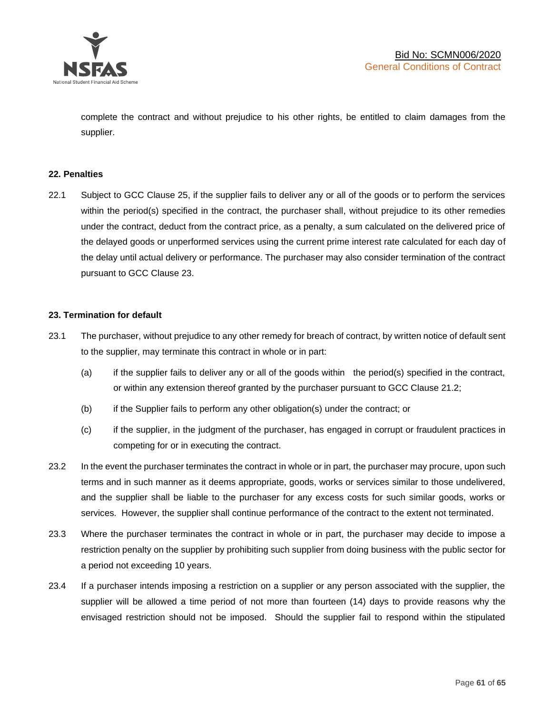

complete the contract and without prejudice to his other rights, be entitled to claim damages from the supplier.

#### **22. Penalties**

22.1 Subject to GCC Clause 25, if the supplier fails to deliver any or all of the goods or to perform the services within the period(s) specified in the contract, the purchaser shall, without prejudice to its other remedies under the contract, deduct from the contract price, as a penalty, a sum calculated on the delivered price of the delayed goods or unperformed services using the current prime interest rate calculated for each day of the delay until actual delivery or performance. The purchaser may also consider termination of the contract pursuant to GCC Clause 23.

#### **23. Termination for default**

- 23.1 The purchaser, without prejudice to any other remedy for breach of contract, by written notice of default sent to the supplier, may terminate this contract in whole or in part:
	- (a) if the supplier fails to deliver any or all of the goods within the period(s) specified in the contract, or within any extension thereof granted by the purchaser pursuant to GCC Clause 21.2;
	- (b) if the Supplier fails to perform any other obligation(s) under the contract; or
	- (c) if the supplier, in the judgment of the purchaser, has engaged in corrupt or fraudulent practices in competing for or in executing the contract.
- 23.2 In the event the purchaser terminates the contract in whole or in part, the purchaser may procure, upon such terms and in such manner as it deems appropriate, goods, works or services similar to those undelivered, and the supplier shall be liable to the purchaser for any excess costs for such similar goods, works or services. However, the supplier shall continue performance of the contract to the extent not terminated.
- 23.3 Where the purchaser terminates the contract in whole or in part, the purchaser may decide to impose a restriction penalty on the supplier by prohibiting such supplier from doing business with the public sector for a period not exceeding 10 years.
- 23.4 If a purchaser intends imposing a restriction on a supplier or any person associated with the supplier, the supplier will be allowed a time period of not more than fourteen (14) days to provide reasons why the envisaged restriction should not be imposed. Should the supplier fail to respond within the stipulated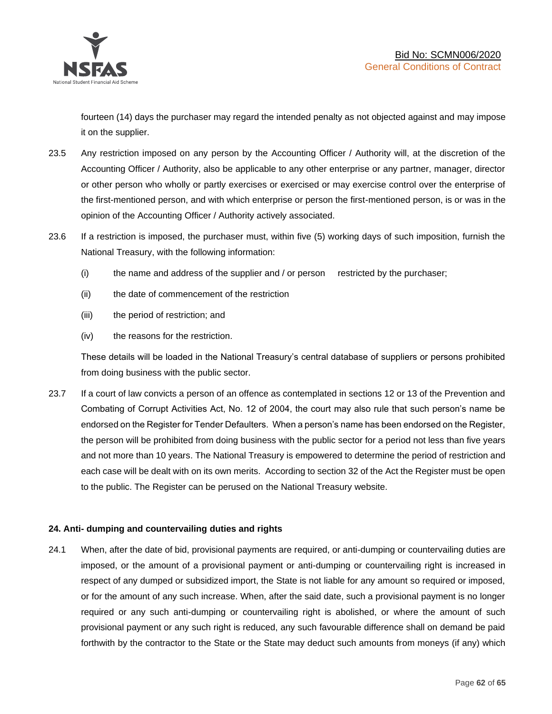

fourteen (14) days the purchaser may regard the intended penalty as not objected against and may impose it on the supplier.

- 23.5 Any restriction imposed on any person by the Accounting Officer / Authority will, at the discretion of the Accounting Officer / Authority, also be applicable to any other enterprise or any partner, manager, director or other person who wholly or partly exercises or exercised or may exercise control over the enterprise of the first-mentioned person, and with which enterprise or person the first-mentioned person, is or was in the opinion of the Accounting Officer / Authority actively associated.
- 23.6 If a restriction is imposed, the purchaser must, within five (5) working days of such imposition, furnish the National Treasury, with the following information:
	- (i) the name and address of the supplier and / or person restricted by the purchaser;
	- (ii) the date of commencement of the restriction
	- (iii) the period of restriction; and
	- (iv) the reasons for the restriction.

These details will be loaded in the National Treasury's central database of suppliers or persons prohibited from doing business with the public sector.

23.7 If a court of law convicts a person of an offence as contemplated in sections 12 or 13 of the Prevention and Combating of Corrupt Activities Act, No. 12 of 2004, the court may also rule that such person's name be endorsed on the Register for Tender Defaulters. When a person's name has been endorsed on the Register, the person will be prohibited from doing business with the public sector for a period not less than five years and not more than 10 years. The National Treasury is empowered to determine the period of restriction and each case will be dealt with on its own merits. According to section 32 of the Act the Register must be open to the public. The Register can be perused on the National Treasury website.

# **24. Anti- dumping and countervailing duties and rights**

24.1 When, after the date of bid, provisional payments are required, or anti-dumping or countervailing duties are imposed, or the amount of a provisional payment or anti-dumping or countervailing right is increased in respect of any dumped or subsidized import, the State is not liable for any amount so required or imposed, or for the amount of any such increase. When, after the said date, such a provisional payment is no longer required or any such anti-dumping or countervailing right is abolished, or where the amount of such provisional payment or any such right is reduced, any such favourable difference shall on demand be paid forthwith by the contractor to the State or the State may deduct such amounts from moneys (if any) which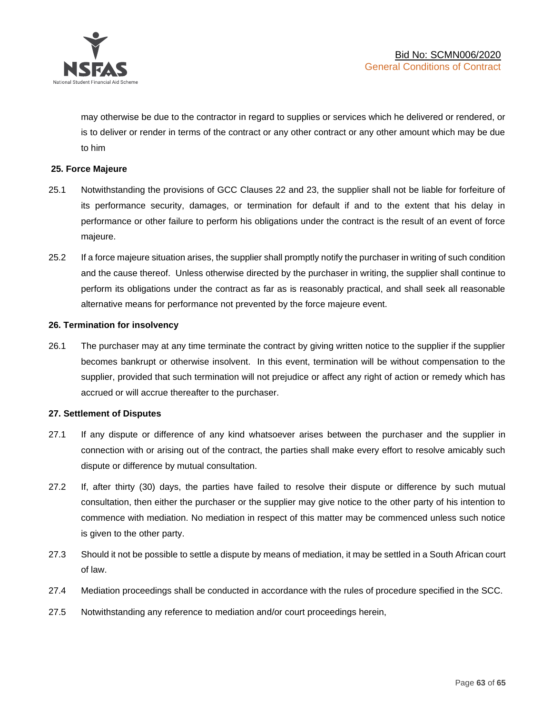

may otherwise be due to the contractor in regard to supplies or services which he delivered or rendered, or is to deliver or render in terms of the contract or any other contract or any other amount which may be due to him

#### **25. Force Majeure**

- 25.1 Notwithstanding the provisions of GCC Clauses 22 and 23, the supplier shall not be liable for forfeiture of its performance security, damages, or termination for default if and to the extent that his delay in performance or other failure to perform his obligations under the contract is the result of an event of force majeure.
- 25.2 If a force majeure situation arises, the supplier shall promptly notify the purchaser in writing of such condition and the cause thereof. Unless otherwise directed by the purchaser in writing, the supplier shall continue to perform its obligations under the contract as far as is reasonably practical, and shall seek all reasonable alternative means for performance not prevented by the force majeure event.

#### **26. Termination for insolvency**

26.1 The purchaser may at any time terminate the contract by giving written notice to the supplier if the supplier becomes bankrupt or otherwise insolvent. In this event, termination will be without compensation to the supplier, provided that such termination will not prejudice or affect any right of action or remedy which has accrued or will accrue thereafter to the purchaser.

#### **27. Settlement of Disputes**

- 27.1 If any dispute or difference of any kind whatsoever arises between the purchaser and the supplier in connection with or arising out of the contract, the parties shall make every effort to resolve amicably such dispute or difference by mutual consultation.
- 27.2 If, after thirty (30) days, the parties have failed to resolve their dispute or difference by such mutual consultation, then either the purchaser or the supplier may give notice to the other party of his intention to commence with mediation. No mediation in respect of this matter may be commenced unless such notice is given to the other party.
- 27.3 Should it not be possible to settle a dispute by means of mediation, it may be settled in a South African court of law.
- 27.4 Mediation proceedings shall be conducted in accordance with the rules of procedure specified in the SCC.
- 27.5 Notwithstanding any reference to mediation and/or court proceedings herein,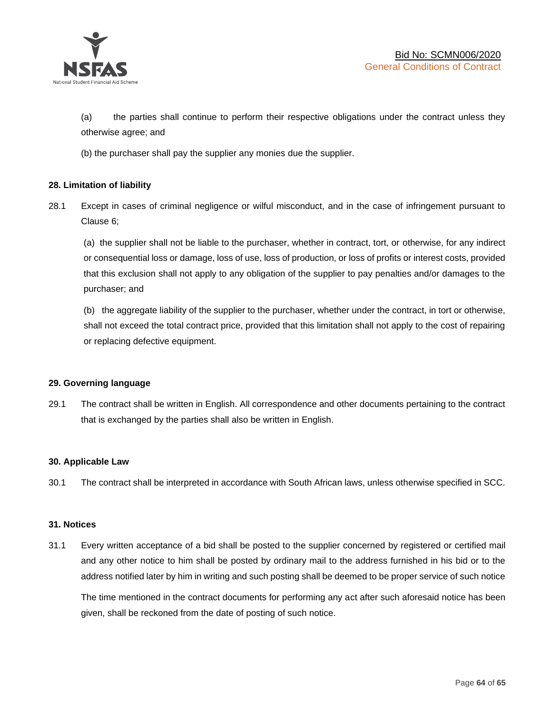

(a) the parties shall continue to perform their respective obligations under the contract unless they otherwise agree; and

(b) the purchaser shall pay the supplier any monies due the supplier.

# **28. Limitation of liability**

28.1 Except in cases of criminal negligence or wilful misconduct, and in the case of infringement pursuant to Clause 6;

(a) the supplier shall not be liable to the purchaser, whether in contract, tort, or otherwise, for any indirect or consequential loss or damage, loss of use, loss of production, or loss of profits or interest costs, provided that this exclusion shall not apply to any obligation of the supplier to pay penalties and/or damages to the purchaser; and

(b) the aggregate liability of the supplier to the purchaser, whether under the contract, in tort or otherwise, shall not exceed the total contract price, provided that this limitation shall not apply to the cost of repairing or replacing defective equipment.

#### **29. Governing language**

29.1 The contract shall be written in English. All correspondence and other documents pertaining to the contract that is exchanged by the parties shall also be written in English.

#### **30. Applicable Law**

30.1 The contract shall be interpreted in accordance with South African laws, unless otherwise specified in SCC.

#### **31. Notices**

31.1 Every written acceptance of a bid shall be posted to the supplier concerned by registered or certified mail and any other notice to him shall be posted by ordinary mail to the address furnished in his bid or to the address notified later by him in writing and such posting shall be deemed to be proper service of such notice

The time mentioned in the contract documents for performing any act after such aforesaid notice has been given, shall be reckoned from the date of posting of such notice.